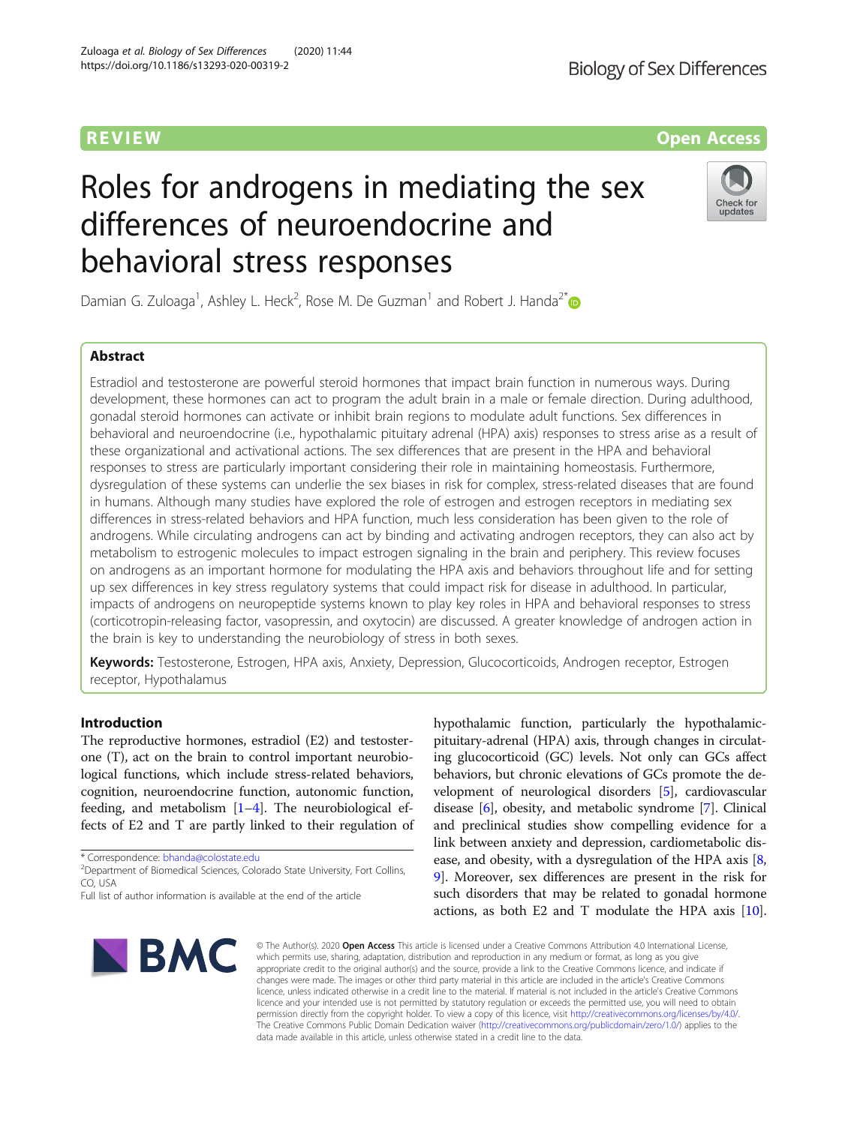# Roles for androgens in mediating the sex differences of neuroendocrine and behavioral stress responses

Damian G. Zuloaga<sup>1</sup>, Ashley L. Heck<sup>2</sup>, Rose M. De Guzman<sup>1</sup> and Robert J. Handa<sup>2[\\*](http://orcid.org/0000-0001-9131-2808)</sup>

# Abstract

Estradiol and testosterone are powerful steroid hormones that impact brain function in numerous ways. During development, these hormones can act to program the adult brain in a male or female direction. During adulthood, gonadal steroid hormones can activate or inhibit brain regions to modulate adult functions. Sex differences in behavioral and neuroendocrine (i.e., hypothalamic pituitary adrenal (HPA) axis) responses to stress arise as a result of these organizational and activational actions. The sex differences that are present in the HPA and behavioral responses to stress are particularly important considering their role in maintaining homeostasis. Furthermore, dysregulation of these systems can underlie the sex biases in risk for complex, stress-related diseases that are found in humans. Although many studies have explored the role of estrogen and estrogen receptors in mediating sex differences in stress-related behaviors and HPA function, much less consideration has been given to the role of androgens. While circulating androgens can act by binding and activating androgen receptors, they can also act by metabolism to estrogenic molecules to impact estrogen signaling in the brain and periphery. This review focuses on androgens as an important hormone for modulating the HPA axis and behaviors throughout life and for setting up sex differences in key stress regulatory systems that could impact risk for disease in adulthood. In particular, impacts of androgens on neuropeptide systems known to play key roles in HPA and behavioral responses to stress (corticotropin-releasing factor, vasopressin, and oxytocin) are discussed. A greater knowledge of androgen action in the brain is key to understanding the neurobiology of stress in both sexes.

Keywords: Testosterone, Estrogen, HPA axis, Anxiety, Depression, Glucocorticoids, Androgen receptor, Estrogen receptor, Hypothalamus

# Introduction

The reproductive hormones, estradiol (E2) and testosterone (T), act on the brain to control important neurobiological functions, which include stress-related behaviors, cognition, neuroendocrine function, autonomic function, feeding, and metabolism  $[1-4]$  $[1-4]$  $[1-4]$  $[1-4]$  $[1-4]$ . The neurobiological effects of E2 and T are partly linked to their regulation of

\* Correspondence: [bhanda@colostate.edu](mailto:bhanda@colostate.edu) <sup>2</sup>

<sup>2</sup>Department of Biomedical Sciences, Colorado State University, Fort Collins, CO, USA

hypothalamic function, particularly the hypothalamicpituitary-adrenal (HPA) axis, through changes in circulating glucocorticoid (GC) levels. Not only can GCs affect behaviors, but chronic elevations of GCs promote the development of neurological disorders [[5\]](#page-12-0), cardiovascular disease [\[6](#page-12-0)], obesity, and metabolic syndrome [\[7](#page-12-0)]. Clinical and preclinical studies show compelling evidence for a

link between anxiety and depression, cardiometabolic disease, and obesity, with a dysregulation of the HPA axis [[8](#page-12-0), [9\]](#page-12-0). Moreover, sex differences are present in the risk for such disorders that may be related to gonadal hormone actions, as both E2 and T modulate the HPA axis  $[10]$  $[10]$  $[10]$ .

© The Author(s), 2020 **Open Access** This article is licensed under a Creative Commons Attribution 4.0 International License, which permits use, sharing, adaptation, distribution and reproduction in any medium or format, as long as you give appropriate credit to the original author(s) and the source, provide a link to the Creative Commons licence, and indicate if changes were made. The images or other third party material in this article are included in the article's Creative Commons licence, unless indicated otherwise in a credit line to the material. If material is not included in the article's Creative Commons licence and your intended use is not permitted by statutory regulation or exceeds the permitted use, you will need to obtain permission directly from the copyright holder. To view a copy of this licence, visit [http://creativecommons.org/licenses/by/4.0/.](http://creativecommons.org/licenses/by/4.0/) The Creative Commons Public Domain Dedication waiver [\(http://creativecommons.org/publicdomain/zero/1.0/](http://creativecommons.org/publicdomain/zero/1.0/)) applies to the data made available in this article, unless otherwise stated in a credit line to the data.







# **REVIEW ACCESS AND LOCAL CONTRACT CONTRACT OF ACCESS**

Full list of author information is available at the end of the article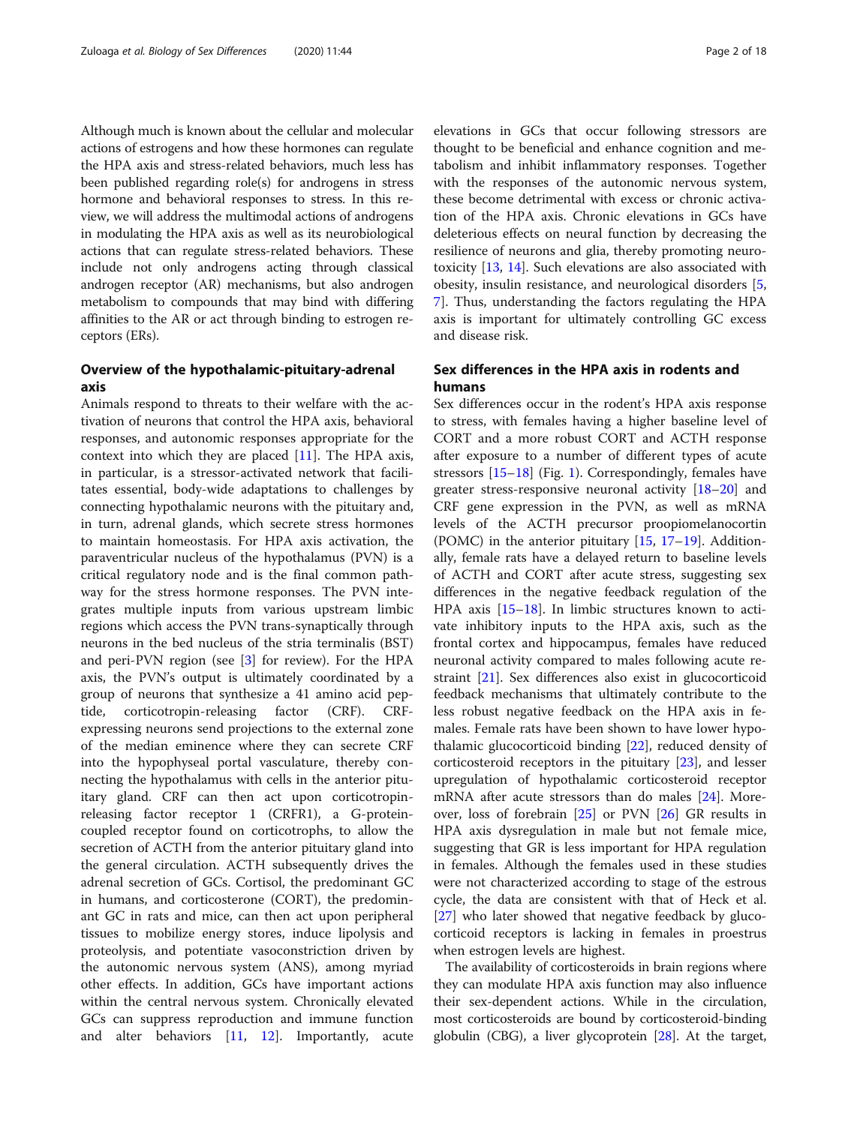Although much is known about the cellular and molecular actions of estrogens and how these hormones can regulate the HPA axis and stress-related behaviors, much less has been published regarding role(s) for androgens in stress hormone and behavioral responses to stress. In this review, we will address the multimodal actions of androgens in modulating the HPA axis as well as its neurobiological actions that can regulate stress-related behaviors. These include not only androgens acting through classical androgen receptor (AR) mechanisms, but also androgen metabolism to compounds that may bind with differing affinities to the AR or act through binding to estrogen receptors (ERs).

# Overview of the hypothalamic-pituitary-adrenal axis

Animals respond to threats to their welfare with the activation of neurons that control the HPA axis, behavioral responses, and autonomic responses appropriate for the context into which they are placed [[11\]](#page-12-0). The HPA axis, in particular, is a stressor-activated network that facilitates essential, body-wide adaptations to challenges by connecting hypothalamic neurons with the pituitary and, in turn, adrenal glands, which secrete stress hormones to maintain homeostasis. For HPA axis activation, the paraventricular nucleus of the hypothalamus (PVN) is a critical regulatory node and is the final common pathway for the stress hormone responses. The PVN integrates multiple inputs from various upstream limbic regions which access the PVN trans-synaptically through neurons in the bed nucleus of the stria terminalis (BST) and peri-PVN region (see [[3\]](#page-12-0) for review). For the HPA axis, the PVN's output is ultimately coordinated by a group of neurons that synthesize a 41 amino acid peptide, corticotropin-releasing factor (CRF). CRFexpressing neurons send projections to the external zone of the median eminence where they can secrete CRF into the hypophyseal portal vasculature, thereby connecting the hypothalamus with cells in the anterior pituitary gland. CRF can then act upon corticotropinreleasing factor receptor 1 (CRFR1), a G-proteincoupled receptor found on corticotrophs, to allow the secretion of ACTH from the anterior pituitary gland into the general circulation. ACTH subsequently drives the adrenal secretion of GCs. Cortisol, the predominant GC in humans, and corticosterone (CORT), the predominant GC in rats and mice, can then act upon peripheral tissues to mobilize energy stores, induce lipolysis and proteolysis, and potentiate vasoconstriction driven by the autonomic nervous system (ANS), among myriad other effects. In addition, GCs have important actions within the central nervous system. Chronically elevated GCs can suppress reproduction and immune function and alter behaviors [[11](#page-12-0), [12](#page-12-0)]. Importantly, acute

elevations in GCs that occur following stressors are thought to be beneficial and enhance cognition and metabolism and inhibit inflammatory responses. Together with the responses of the autonomic nervous system, these become detrimental with excess or chronic activation of the HPA axis. Chronic elevations in GCs have deleterious effects on neural function by decreasing the resilience of neurons and glia, thereby promoting neurotoxicity [\[13](#page-12-0), [14](#page-12-0)]. Such elevations are also associated with obesity, insulin resistance, and neurological disorders [\[5](#page-12-0), [7\]](#page-12-0). Thus, understanding the factors regulating the HPA axis is important for ultimately controlling GC excess and disease risk.

# Sex differences in the HPA axis in rodents and humans

Sex differences occur in the rodent's HPA axis response to stress, with females having a higher baseline level of CORT and a more robust CORT and ACTH response after exposure to a number of different types of acute stressors [\[15](#page-12-0)–[18\]](#page-12-0) (Fig. [1](#page-2-0)). Correspondingly, females have greater stress-responsive neuronal activity [[18](#page-12-0)–[20\]](#page-12-0) and CRF gene expression in the PVN, as well as mRNA levels of the ACTH precursor proopiomelanocortin (POMC) in the anterior pituitary [[15,](#page-12-0) [17](#page-12-0)–[19\]](#page-12-0). Additionally, female rats have a delayed return to baseline levels of ACTH and CORT after acute stress, suggesting sex differences in the negative feedback regulation of the HPA axis [\[15](#page-12-0)–[18\]](#page-12-0). In limbic structures known to activate inhibitory inputs to the HPA axis, such as the frontal cortex and hippocampus, females have reduced neuronal activity compared to males following acute restraint [\[21](#page-12-0)]. Sex differences also exist in glucocorticoid feedback mechanisms that ultimately contribute to the less robust negative feedback on the HPA axis in females. Female rats have been shown to have lower hypothalamic glucocorticoid binding [\[22\]](#page-12-0), reduced density of corticosteroid receptors in the pituitary [[23\]](#page-12-0), and lesser upregulation of hypothalamic corticosteroid receptor mRNA after acute stressors than do males [\[24](#page-12-0)]. Moreover, loss of forebrain [\[25\]](#page-12-0) or PVN [\[26](#page-12-0)] GR results in HPA axis dysregulation in male but not female mice, suggesting that GR is less important for HPA regulation in females. Although the females used in these studies were not characterized according to stage of the estrous cycle, the data are consistent with that of Heck et al. [[27\]](#page-12-0) who later showed that negative feedback by glucocorticoid receptors is lacking in females in proestrus when estrogen levels are highest.

The availability of corticosteroids in brain regions where they can modulate HPA axis function may also influence their sex-dependent actions. While in the circulation, most corticosteroids are bound by corticosteroid-binding globulin (CBG), a liver glycoprotein [\[28\]](#page-12-0). At the target,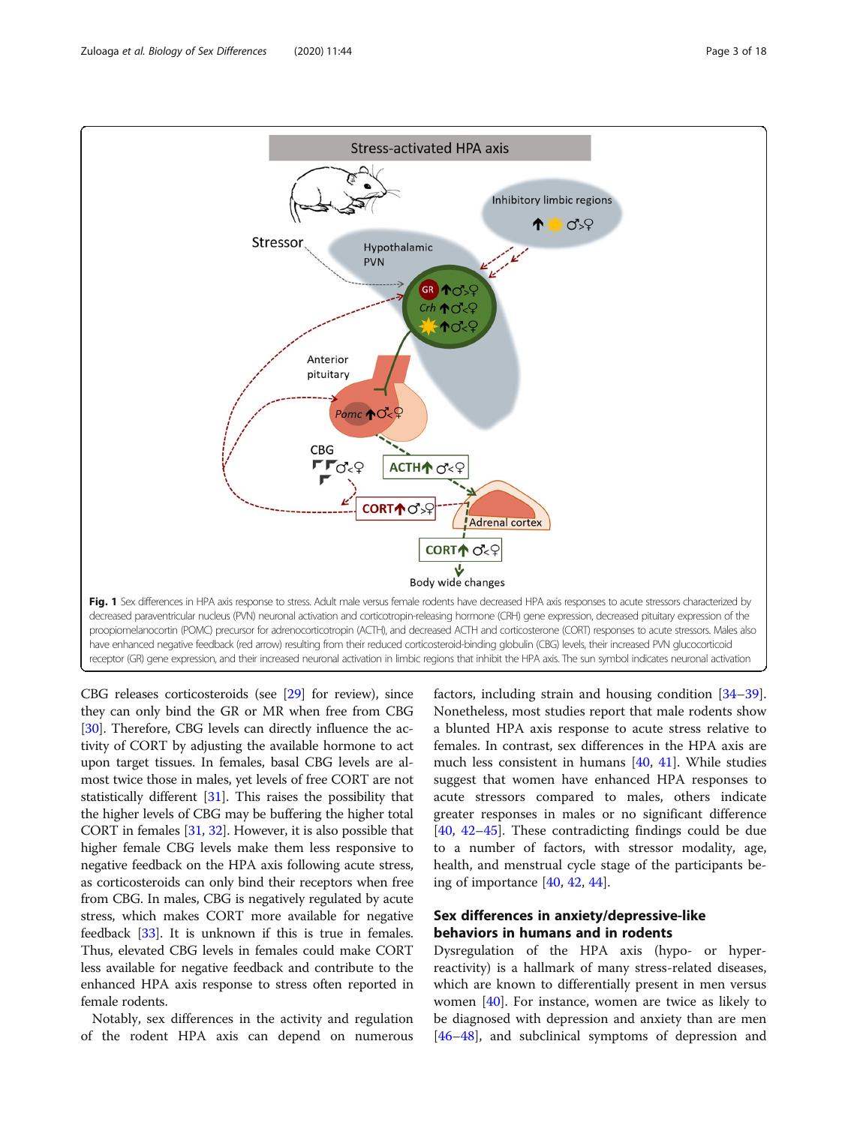<span id="page-2-0"></span>Zuloaga et al. Biology of Sex Differences (2020) 11:44 Page 3 of 18



CBG releases corticosteroids (see [[29\]](#page-12-0) for review), since they can only bind the GR or MR when free from CBG [[30](#page-12-0)]. Therefore, CBG levels can directly influence the activity of CORT by adjusting the available hormone to act upon target tissues. In females, basal CBG levels are almost twice those in males, yet levels of free CORT are not statistically different [\[31\]](#page-12-0). This raises the possibility that the higher levels of CBG may be buffering the higher total CORT in females [\[31,](#page-12-0) [32](#page-12-0)]. However, it is also possible that higher female CBG levels make them less responsive to negative feedback on the HPA axis following acute stress, as corticosteroids can only bind their receptors when free from CBG. In males, CBG is negatively regulated by acute stress, which makes CORT more available for negative feedback [[33](#page-12-0)]. It is unknown if this is true in females. Thus, elevated CBG levels in females could make CORT less available for negative feedback and contribute to the enhanced HPA axis response to stress often reported in female rodents.

Notably, sex differences in the activity and regulation of the rodent HPA axis can depend on numerous

factors, including strain and housing condition [[34](#page-12-0)–[39](#page-12-0)]. Nonetheless, most studies report that male rodents show a blunted HPA axis response to acute stress relative to females. In contrast, sex differences in the HPA axis are much less consistent in humans [[40,](#page-12-0) [41](#page-13-0)]. While studies suggest that women have enhanced HPA responses to acute stressors compared to males, others indicate greater responses in males or no significant difference [[40,](#page-12-0) [42](#page-13-0)–[45\]](#page-13-0). These contradicting findings could be due to a number of factors, with stressor modality, age, health, and menstrual cycle stage of the participants being of importance [[40,](#page-12-0) [42,](#page-13-0) [44\]](#page-13-0).

# Sex differences in anxiety/depressive-like behaviors in humans and in rodents

Dysregulation of the HPA axis (hypo- or hyperreactivity) is a hallmark of many stress-related diseases, which are known to differentially present in men versus women [[40](#page-12-0)]. For instance, women are twice as likely to be diagnosed with depression and anxiety than are men [[46](#page-13-0)–[48](#page-13-0)], and subclinical symptoms of depression and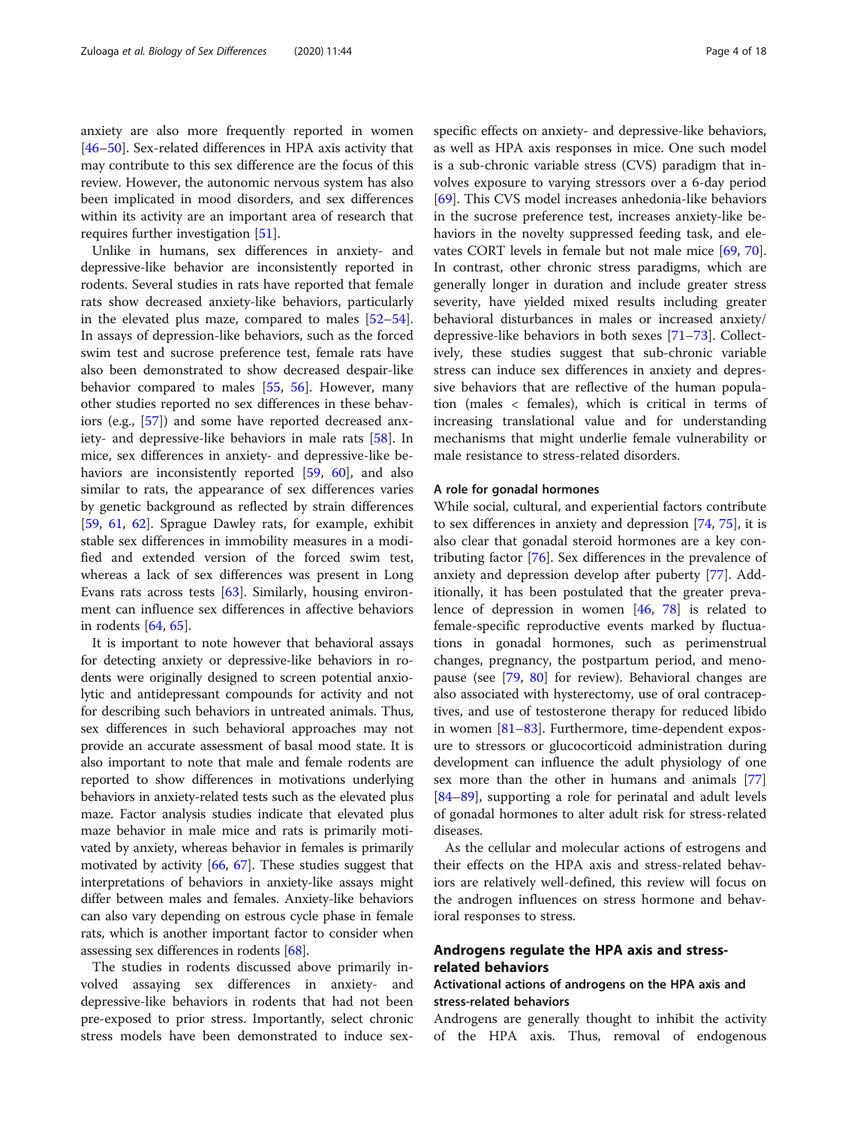anxiety are also more frequently reported in women [[46](#page-13-0)–[50](#page-13-0)]. Sex-related differences in HPA axis activity that may contribute to this sex difference are the focus of this review. However, the autonomic nervous system has also been implicated in mood disorders, and sex differences within its activity are an important area of research that requires further investigation [[51\]](#page-13-0).

Unlike in humans, sex differences in anxiety- and depressive-like behavior are inconsistently reported in rodents. Several studies in rats have reported that female rats show decreased anxiety-like behaviors, particularly in the elevated plus maze, compared to males [[52](#page-13-0)–[54](#page-13-0)]. In assays of depression-like behaviors, such as the forced swim test and sucrose preference test, female rats have also been demonstrated to show decreased despair-like behavior compared to males [\[55](#page-13-0), [56](#page-13-0)]. However, many other studies reported no sex differences in these behaviors (e.g., [[57\]](#page-13-0)) and some have reported decreased anxiety- and depressive-like behaviors in male rats [[58](#page-13-0)]. In mice, sex differences in anxiety- and depressive-like behaviors are inconsistently reported [\[59](#page-13-0), [60\]](#page-13-0), and also similar to rats, the appearance of sex differences varies by genetic background as reflected by strain differences [[59,](#page-13-0) [61](#page-13-0), [62\]](#page-13-0). Sprague Dawley rats, for example, exhibit stable sex differences in immobility measures in a modified and extended version of the forced swim test, whereas a lack of sex differences was present in Long Evans rats across tests [\[63](#page-13-0)]. Similarly, housing environment can influence sex differences in affective behaviors in rodents [\[64](#page-13-0), [65](#page-13-0)].

It is important to note however that behavioral assays for detecting anxiety or depressive-like behaviors in rodents were originally designed to screen potential anxiolytic and antidepressant compounds for activity and not for describing such behaviors in untreated animals. Thus, sex differences in such behavioral approaches may not provide an accurate assessment of basal mood state. It is also important to note that male and female rodents are reported to show differences in motivations underlying behaviors in anxiety-related tests such as the elevated plus maze. Factor analysis studies indicate that elevated plus maze behavior in male mice and rats is primarily motivated by anxiety, whereas behavior in females is primarily motivated by activity [[66](#page-13-0), [67\]](#page-13-0). These studies suggest that interpretations of behaviors in anxiety-like assays might differ between males and females. Anxiety-like behaviors can also vary depending on estrous cycle phase in female rats, which is another important factor to consider when assessing sex differences in rodents [\[68](#page-13-0)].

The studies in rodents discussed above primarily involved assaying sex differences in anxiety- and depressive-like behaviors in rodents that had not been pre-exposed to prior stress. Importantly, select chronic stress models have been demonstrated to induce sexspecific effects on anxiety- and depressive-like behaviors, as well as HPA axis responses in mice. One such model is a sub-chronic variable stress (CVS) paradigm that involves exposure to varying stressors over a 6-day period [[69\]](#page-13-0). This CVS model increases anhedonia-like behaviors in the sucrose preference test, increases anxiety-like behaviors in the novelty suppressed feeding task, and elevates CORT levels in female but not male mice [\[69,](#page-13-0) [70](#page-13-0)]. In contrast, other chronic stress paradigms, which are generally longer in duration and include greater stress severity, have yielded mixed results including greater behavioral disturbances in males or increased anxiety/ depressive-like behaviors in both sexes [[71](#page-13-0)–[73](#page-13-0)]. Collectively, these studies suggest that sub-chronic variable stress can induce sex differences in anxiety and depressive behaviors that are reflective of the human population (males < females), which is critical in terms of increasing translational value and for understanding mechanisms that might underlie female vulnerability or male resistance to stress-related disorders.

#### A role for gonadal hormones

While social, cultural, and experiential factors contribute to sex differences in anxiety and depression [\[74](#page-13-0), [75](#page-13-0)], it is also clear that gonadal steroid hormones are a key contributing factor [[76](#page-13-0)]. Sex differences in the prevalence of anxiety and depression develop after puberty [[77\]](#page-13-0). Additionally, it has been postulated that the greater prevalence of depression in women [[46,](#page-13-0) [78](#page-13-0)] is related to female-specific reproductive events marked by fluctuations in gonadal hormones, such as perimenstrual changes, pregnancy, the postpartum period, and menopause (see [[79,](#page-13-0) [80\]](#page-13-0) for review). Behavioral changes are also associated with hysterectomy, use of oral contraceptives, and use of testosterone therapy for reduced libido in women [\[81](#page-13-0)–[83\]](#page-13-0). Furthermore, time-dependent exposure to stressors or glucocorticoid administration during development can influence the adult physiology of one sex more than the other in humans and animals [[77](#page-13-0)] [[84](#page-13-0)–[89](#page-13-0)], supporting a role for perinatal and adult levels of gonadal hormones to alter adult risk for stress-related diseases.

As the cellular and molecular actions of estrogens and their effects on the HPA axis and stress-related behaviors are relatively well-defined, this review will focus on the androgen influences on stress hormone and behavioral responses to stress.

# Androgens regulate the HPA axis and stressrelated behaviors

# Activational actions of androgens on the HPA axis and stress-related behaviors

Androgens are generally thought to inhibit the activity of the HPA axis. Thus, removal of endogenous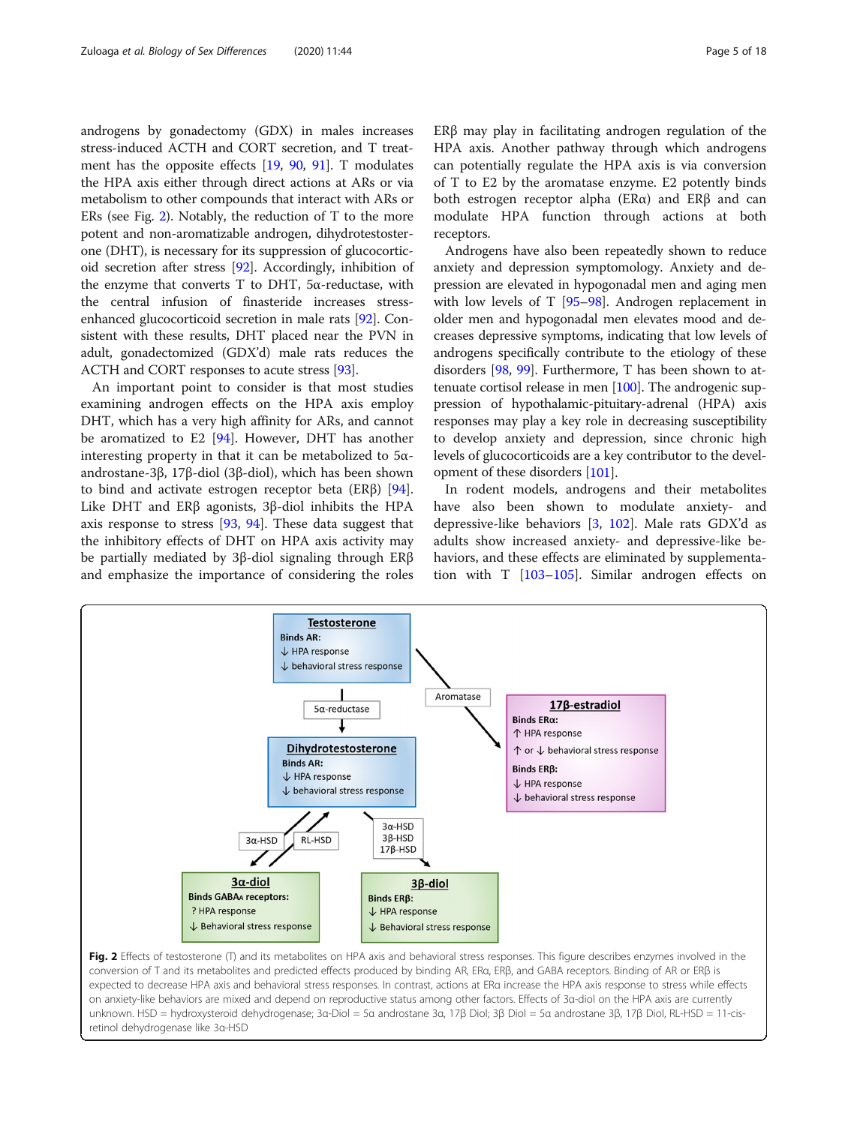androgens by gonadectomy (GDX) in males increases stress-induced ACTH and CORT secretion, and T treatment has the opposite effects [\[19,](#page-12-0) [90,](#page-14-0) [91\]](#page-14-0). T modulates the HPA axis either through direct actions at ARs or via metabolism to other compounds that interact with ARs or ERs (see Fig. 2). Notably, the reduction of T to the more potent and non-aromatizable androgen, dihydrotestosterone (DHT), is necessary for its suppression of glucocorticoid secretion after stress [[92](#page-14-0)]. Accordingly, inhibition of the enzyme that converts T to DHT,  $5α$ -reductase, with the central infusion of finasteride increases stressenhanced glucocorticoid secretion in male rats [\[92\]](#page-14-0). Consistent with these results, DHT placed near the PVN in adult, gonadectomized (GDX'd) male rats reduces the ACTH and CORT responses to acute stress [\[93\]](#page-14-0).

An important point to consider is that most studies examining androgen effects on the HPA axis employ DHT, which has a very high affinity for ARs, and cannot be aromatized to E2 [[94\]](#page-14-0). However, DHT has another interesting property in that it can be metabolized to  $5\alpha$ androstane-3β, 17β-diol (3β-diol), which has been shown to bind and activate estrogen receptor beta (ERβ) [\[94](#page-14-0)]. Like DHT and ERβ agonists, 3β-diol inhibits the HPA axis response to stress [\[93,](#page-14-0) [94\]](#page-14-0). These data suggest that the inhibitory effects of DHT on HPA axis activity may be partially mediated by 3β-diol signaling through ERβ and emphasize the importance of considering the roles ERβ may play in facilitating androgen regulation of the HPA axis. Another pathway through which androgens can potentially regulate the HPA axis is via conversion of T to E2 by the aromatase enzyme. E2 potently binds both estrogen receptor alpha (ERα) and ERβ and can modulate HPA function through actions at both receptors.

Androgens have also been repeatedly shown to reduce anxiety and depression symptomology. Anxiety and depression are elevated in hypogonadal men and aging men with low levels of T [[95](#page-14-0)–[98\]](#page-14-0). Androgen replacement in older men and hypogonadal men elevates mood and decreases depressive symptoms, indicating that low levels of androgens specifically contribute to the etiology of these disorders [[98,](#page-14-0) [99\]](#page-14-0). Furthermore, T has been shown to attenuate cortisol release in men [\[100](#page-14-0)]. The androgenic suppression of hypothalamic-pituitary-adrenal (HPA) axis responses may play a key role in decreasing susceptibility to develop anxiety and depression, since chronic high levels of glucocorticoids are a key contributor to the development of these disorders [\[101\]](#page-14-0).

In rodent models, androgens and their metabolites have also been shown to modulate anxiety- and depressive-like behaviors [\[3,](#page-12-0) [102\]](#page-14-0). Male rats GDX'd as adults show increased anxiety- and depressive-like behaviors, and these effects are eliminated by supplementation with T [\[103](#page-14-0)–[105\]](#page-14-0). Similar androgen effects on



conversion of T and its metabolites and predicted effects produced by binding AR, ERα, ERβ, and GABA receptors. Binding of AR or ERβ is expected to decrease HPA axis and behavioral stress responses. In contrast, actions at ERα increase the HPA axis response to stress while effects on anxiety-like behaviors are mixed and depend on reproductive status among other factors. Effects of 3α-diol on the HPA axis are currently unknown. HSD = hydroxysteroid dehydrogenase; 3α-Diol = 5α androstane 3α, 17β Diol; 3β Diol = 5α androstane 3β, 17β Diol, RL-HSD = 11-cisretinol dehydrogenase like 3α-HSD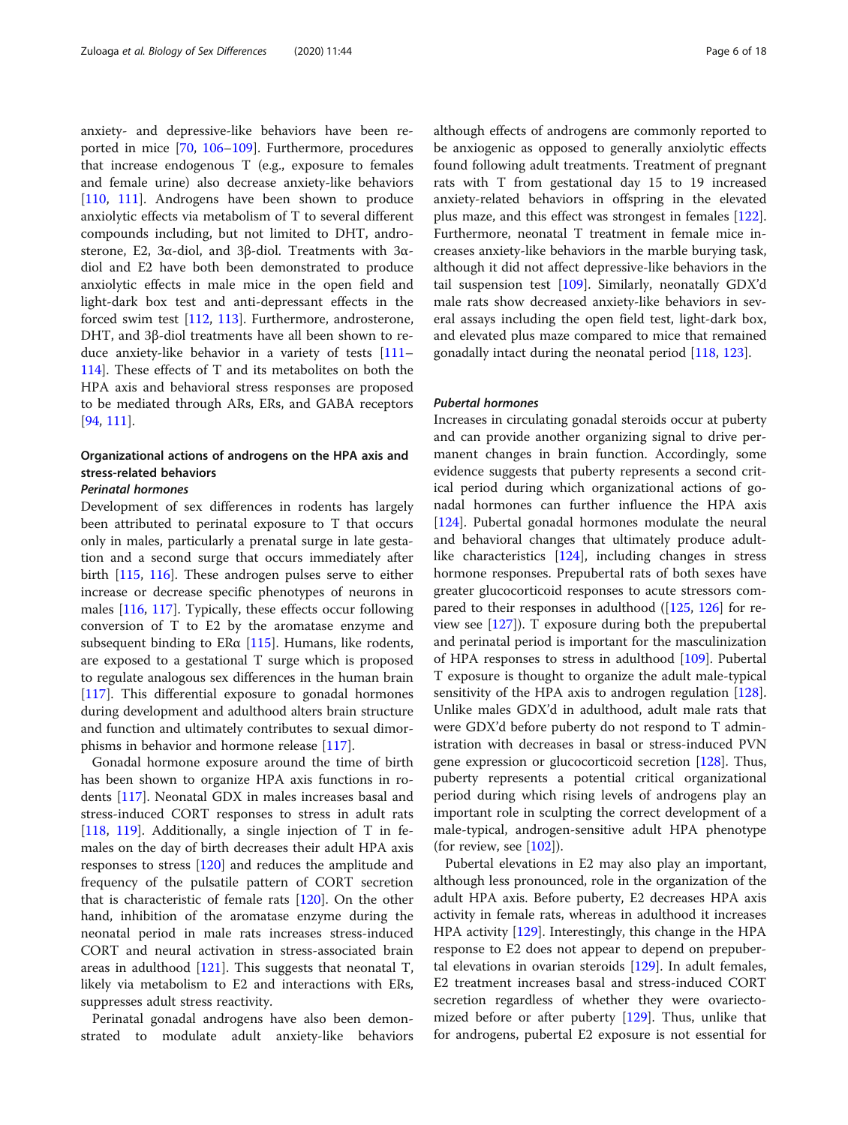anxiety- and depressive-like behaviors have been reported in mice [\[70](#page-13-0), [106](#page-14-0)–[109\]](#page-14-0). Furthermore, procedures that increase endogenous T (e.g., exposure to females and female urine) also decrease anxiety-like behaviors [[110,](#page-14-0) [111\]](#page-14-0). Androgens have been shown to produce anxiolytic effects via metabolism of T to several different compounds including, but not limited to DHT, androsterone, E2, 3α-diol, and 3β-diol. Treatments with 3αdiol and E2 have both been demonstrated to produce anxiolytic effects in male mice in the open field and light-dark box test and anti-depressant effects in the forced swim test [\[112](#page-14-0), [113\]](#page-14-0). Furthermore, androsterone, DHT, and 3β-diol treatments have all been shown to reduce anxiety-like behavior in a variety of tests [[111](#page-14-0)– [114](#page-14-0)]. These effects of T and its metabolites on both the HPA axis and behavioral stress responses are proposed to be mediated through ARs, ERs, and GABA receptors [[94,](#page-14-0) [111\]](#page-14-0).

# Organizational actions of androgens on the HPA axis and stress-related behaviors

# Perinatal hormones

Development of sex differences in rodents has largely been attributed to perinatal exposure to T that occurs only in males, particularly a prenatal surge in late gestation and a second surge that occurs immediately after birth [[115,](#page-14-0) [116\]](#page-14-0). These androgen pulses serve to either increase or decrease specific phenotypes of neurons in males [[116](#page-14-0), [117\]](#page-14-0). Typically, these effects occur following conversion of T to E2 by the aromatase enzyme and subsequent binding to  $ER\alpha$  [[115\]](#page-14-0). Humans, like rodents, are exposed to a gestational T surge which is proposed to regulate analogous sex differences in the human brain [[117\]](#page-14-0). This differential exposure to gonadal hormones during development and adulthood alters brain structure and function and ultimately contributes to sexual dimorphisms in behavior and hormone release [\[117](#page-14-0)].

Gonadal hormone exposure around the time of birth has been shown to organize HPA axis functions in rodents [\[117\]](#page-14-0). Neonatal GDX in males increases basal and stress-induced CORT responses to stress in adult rats [[118,](#page-14-0) [119](#page-14-0)]. Additionally, a single injection of T in females on the day of birth decreases their adult HPA axis responses to stress [\[120](#page-14-0)] and reduces the amplitude and frequency of the pulsatile pattern of CORT secretion that is characteristic of female rats  $[120]$  $[120]$  $[120]$ . On the other hand, inhibition of the aromatase enzyme during the neonatal period in male rats increases stress-induced CORT and neural activation in stress-associated brain areas in adulthood [[121\]](#page-14-0). This suggests that neonatal T, likely via metabolism to E2 and interactions with ERs, suppresses adult stress reactivity.

Perinatal gonadal androgens have also been demonstrated to modulate adult anxiety-like behaviors although effects of androgens are commonly reported to be anxiogenic as opposed to generally anxiolytic effects found following adult treatments. Treatment of pregnant rats with T from gestational day 15 to 19 increased anxiety-related behaviors in offspring in the elevated plus maze, and this effect was strongest in females [[122](#page-14-0)]. Furthermore, neonatal T treatment in female mice increases anxiety-like behaviors in the marble burying task, although it did not affect depressive-like behaviors in the tail suspension test [\[109\]](#page-14-0). Similarly, neonatally GDX'd male rats show decreased anxiety-like behaviors in several assays including the open field test, light-dark box, and elevated plus maze compared to mice that remained gonadally intact during the neonatal period [\[118,](#page-14-0) [123\]](#page-14-0).

#### Pubertal hormones

Increases in circulating gonadal steroids occur at puberty and can provide another organizing signal to drive permanent changes in brain function. Accordingly, some evidence suggests that puberty represents a second critical period during which organizational actions of gonadal hormones can further influence the HPA axis [[124\]](#page-14-0). Pubertal gonadal hormones modulate the neural and behavioral changes that ultimately produce adultlike characteristics [[124](#page-14-0)], including changes in stress hormone responses. Prepubertal rats of both sexes have greater glucocorticoid responses to acute stressors compared to their responses in adulthood ([\[125](#page-14-0), [126](#page-14-0)] for review see [[127](#page-14-0)]). T exposure during both the prepubertal and perinatal period is important for the masculinization of HPA responses to stress in adulthood [[109\]](#page-14-0). Pubertal T exposure is thought to organize the adult male-typical sensitivity of the HPA axis to androgen regulation [[128](#page-14-0)]. Unlike males GDX'd in adulthood, adult male rats that were GDX'd before puberty do not respond to T administration with decreases in basal or stress-induced PVN gene expression or glucocorticoid secretion [[128\]](#page-14-0). Thus, puberty represents a potential critical organizational period during which rising levels of androgens play an important role in sculpting the correct development of a male-typical, androgen-sensitive adult HPA phenotype (for review, see  $[102]$  $[102]$  $[102]$ ).

Pubertal elevations in E2 may also play an important, although less pronounced, role in the organization of the adult HPA axis. Before puberty, E2 decreases HPA axis activity in female rats, whereas in adulthood it increases HPA activity [\[129\]](#page-14-0). Interestingly, this change in the HPA response to E2 does not appear to depend on prepubertal elevations in ovarian steroids [[129\]](#page-14-0). In adult females, E2 treatment increases basal and stress-induced CORT secretion regardless of whether they were ovariectomized before or after puberty [\[129\]](#page-14-0). Thus, unlike that for androgens, pubertal E2 exposure is not essential for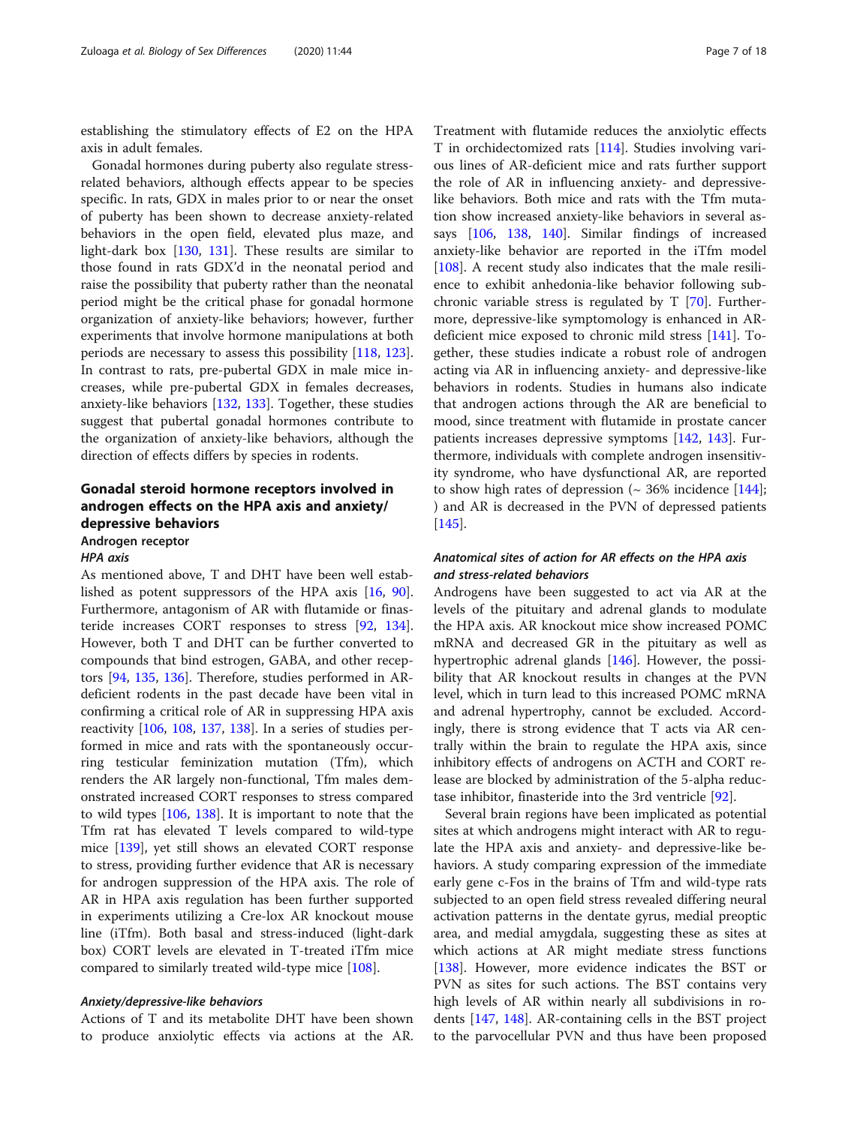establishing the stimulatory effects of E2 on the HPA axis in adult females.

Gonadal hormones during puberty also regulate stressrelated behaviors, although effects appear to be species specific. In rats, GDX in males prior to or near the onset of puberty has been shown to decrease anxiety-related behaviors in the open field, elevated plus maze, and light-dark box [[130](#page-14-0), [131](#page-14-0)]. These results are similar to those found in rats GDX'd in the neonatal period and raise the possibility that puberty rather than the neonatal period might be the critical phase for gonadal hormone organization of anxiety-like behaviors; however, further experiments that involve hormone manipulations at both periods are necessary to assess this possibility [[118](#page-14-0), [123](#page-14-0)]. In contrast to rats, pre-pubertal GDX in male mice increases, while pre-pubertal GDX in females decreases, anxiety-like behaviors [\[132,](#page-14-0) [133\]](#page-14-0). Together, these studies suggest that pubertal gonadal hormones contribute to the organization of anxiety-like behaviors, although the direction of effects differs by species in rodents.

# Gonadal steroid hormone receptors involved in androgen effects on the HPA axis and anxiety/ depressive behaviors

Androgen receptor

#### HPA axis

As mentioned above, T and DHT have been well established as potent suppressors of the HPA axis [[16,](#page-12-0) [90](#page-14-0)]. Furthermore, antagonism of AR with flutamide or finasteride increases CORT responses to stress [[92](#page-14-0), [134](#page-14-0)]. However, both T and DHT can be further converted to compounds that bind estrogen, GABA, and other receptors [\[94,](#page-14-0) [135](#page-14-0), [136\]](#page-14-0). Therefore, studies performed in ARdeficient rodents in the past decade have been vital in confirming a critical role of AR in suppressing HPA axis reactivity [[106](#page-14-0), [108](#page-14-0), [137,](#page-15-0) [138](#page-15-0)]. In a series of studies performed in mice and rats with the spontaneously occurring testicular feminization mutation (Tfm), which renders the AR largely non-functional, Tfm males demonstrated increased CORT responses to stress compared to wild types [[106](#page-14-0), [138\]](#page-15-0). It is important to note that the Tfm rat has elevated T levels compared to wild-type mice [[139](#page-15-0)], yet still shows an elevated CORT response to stress, providing further evidence that AR is necessary for androgen suppression of the HPA axis. The role of AR in HPA axis regulation has been further supported in experiments utilizing a Cre-lox AR knockout mouse line (iTfm). Both basal and stress-induced (light-dark box) CORT levels are elevated in T-treated iTfm mice compared to similarly treated wild-type mice [[108\]](#page-14-0).

#### Anxiety/depressive-like behaviors

Actions of T and its metabolite DHT have been shown to produce anxiolytic effects via actions at the AR.

Treatment with flutamide reduces the anxiolytic effects T in orchidectomized rats [\[114\]](#page-14-0). Studies involving various lines of AR-deficient mice and rats further support the role of AR in influencing anxiety- and depressivelike behaviors. Both mice and rats with the Tfm mutation show increased anxiety-like behaviors in several assays [[106,](#page-14-0) [138,](#page-15-0) [140](#page-15-0)]. Similar findings of increased anxiety-like behavior are reported in the iTfm model [[108\]](#page-14-0). A recent study also indicates that the male resilience to exhibit anhedonia-like behavior following subchronic variable stress is regulated by T [[70](#page-13-0)]. Furthermore, depressive-like symptomology is enhanced in ARdeficient mice exposed to chronic mild stress [[141\]](#page-15-0). Together, these studies indicate a robust role of androgen acting via AR in influencing anxiety- and depressive-like behaviors in rodents. Studies in humans also indicate that androgen actions through the AR are beneficial to mood, since treatment with flutamide in prostate cancer patients increases depressive symptoms [\[142,](#page-15-0) [143\]](#page-15-0). Furthermore, individuals with complete androgen insensitivity syndrome, who have dysfunctional AR, are reported to show high rates of depression  $(~ 36\%$  incidence [[144](#page-15-0)]; ) and AR is decreased in the PVN of depressed patients [[145\]](#page-15-0).

# Anatomical sites of action for AR effects on the HPA axis and stress-related behaviors

Androgens have been suggested to act via AR at the levels of the pituitary and adrenal glands to modulate the HPA axis. AR knockout mice show increased POMC mRNA and decreased GR in the pituitary as well as hypertrophic adrenal glands [[146](#page-15-0)]. However, the possibility that AR knockout results in changes at the PVN level, which in turn lead to this increased POMC mRNA and adrenal hypertrophy, cannot be excluded. Accordingly, there is strong evidence that T acts via AR centrally within the brain to regulate the HPA axis, since inhibitory effects of androgens on ACTH and CORT release are blocked by administration of the 5-alpha reductase inhibitor, finasteride into the 3rd ventricle [\[92](#page-14-0)].

Several brain regions have been implicated as potential sites at which androgens might interact with AR to regulate the HPA axis and anxiety- and depressive-like behaviors. A study comparing expression of the immediate early gene c-Fos in the brains of Tfm and wild-type rats subjected to an open field stress revealed differing neural activation patterns in the dentate gyrus, medial preoptic area, and medial amygdala, suggesting these as sites at which actions at AR might mediate stress functions [[138\]](#page-15-0). However, more evidence indicates the BST or PVN as sites for such actions. The BST contains very high levels of AR within nearly all subdivisions in rodents [\[147](#page-15-0), [148](#page-15-0)]. AR-containing cells in the BST project to the parvocellular PVN and thus have been proposed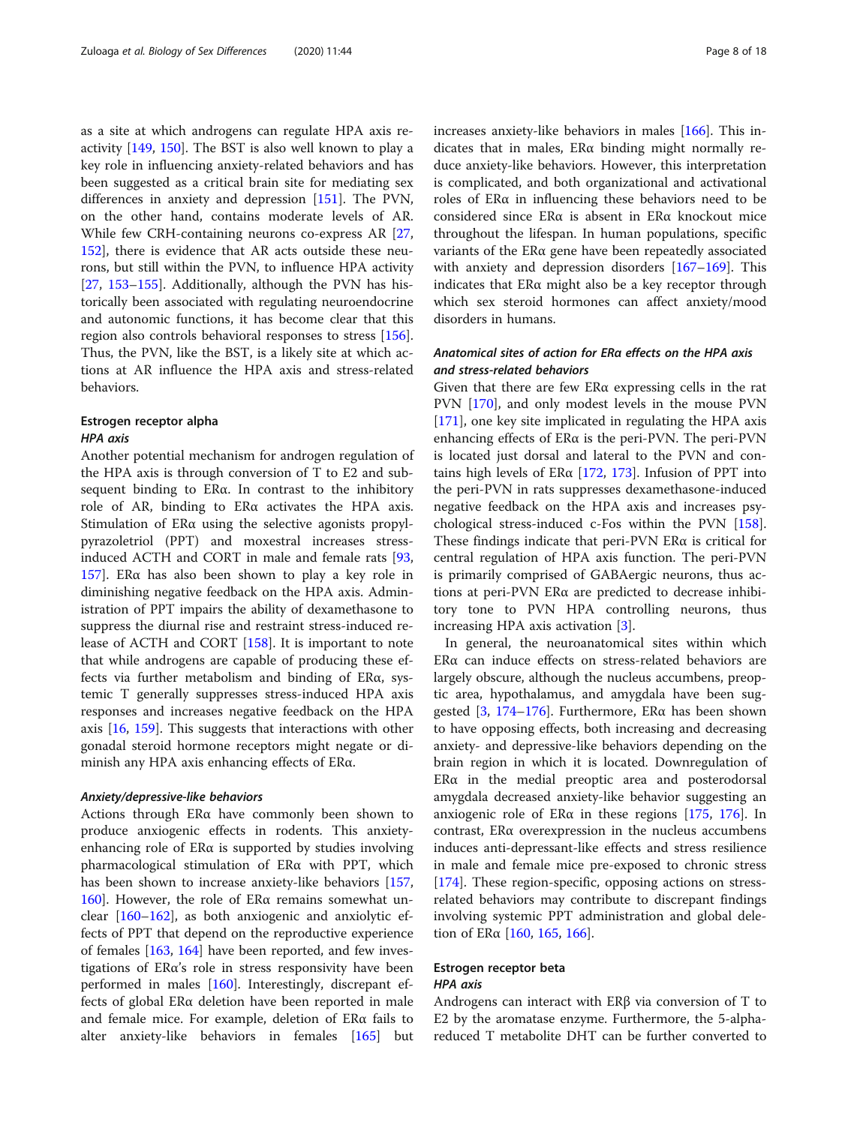as a site at which androgens can regulate HPA axis reactivity [\[149,](#page-15-0) [150](#page-15-0)]. The BST is also well known to play a key role in influencing anxiety-related behaviors and has been suggested as a critical brain site for mediating sex differences in anxiety and depression [[151\]](#page-15-0). The PVN, on the other hand, contains moderate levels of AR. While few CRH-containing neurons co-express AR [[27](#page-12-0), [152](#page-15-0)], there is evidence that AR acts outside these neurons, but still within the PVN, to influence HPA activity [[27,](#page-12-0) [153](#page-15-0)–[155](#page-15-0)]. Additionally, although the PVN has historically been associated with regulating neuroendocrine and autonomic functions, it has become clear that this region also controls behavioral responses to stress [\[156](#page-15-0)]. Thus, the PVN, like the BST, is a likely site at which actions at AR influence the HPA axis and stress-related behaviors.

# Estrogen receptor alpha HPA axis

Another potential mechanism for androgen regulation of the HPA axis is through conversion of T to E2 and subsequent binding to ERα. In contrast to the inhibitory role of AR, binding to ERα activates the HPA axis. Stimulation of ERα using the selective agonists propylpyrazoletriol (PPT) and moxestral increases stressinduced ACTH and CORT in male and female rats [[93](#page-14-0), [157](#page-15-0)]. ERα has also been shown to play a key role in diminishing negative feedback on the HPA axis. Administration of PPT impairs the ability of dexamethasone to suppress the diurnal rise and restraint stress-induced release of ACTH and CORT [[158](#page-15-0)]. It is important to note that while androgens are capable of producing these effects via further metabolism and binding of ERα, systemic T generally suppresses stress-induced HPA axis responses and increases negative feedback on the HPA axis [[16,](#page-12-0) [159](#page-15-0)]. This suggests that interactions with other gonadal steroid hormone receptors might negate or diminish any HPA axis enhancing effects of ERα.

#### Anxiety/depressive-like behaviors

Actions through ERα have commonly been shown to produce anxiogenic effects in rodents. This anxietyenhancing role of  $ER\alpha$  is supported by studies involving pharmacological stimulation of ERα with PPT, which has been shown to increase anxiety-like behaviors [[157](#page-15-0), [160](#page-15-0)]. However, the role of  $ERα$  remains somewhat unclear [\[160](#page-15-0)–[162\]](#page-15-0), as both anxiogenic and anxiolytic effects of PPT that depend on the reproductive experience of females [[163,](#page-15-0) [164\]](#page-15-0) have been reported, and few investigations of ERα's role in stress responsivity have been performed in males [\[160\]](#page-15-0). Interestingly, discrepant effects of global ERα deletion have been reported in male and female mice. For example, deletion of ERα fails to alter anxiety-like behaviors in females [[165](#page-15-0)] but increases anxiety-like behaviors in males [\[166\]](#page-15-0). This indicates that in males, ERα binding might normally reduce anxiety-like behaviors. However, this interpretation is complicated, and both organizational and activational roles of ERα in influencing these behaviors need to be considered since ERα is absent in ERα knockout mice throughout the lifespan. In human populations, specific variants of the ERα gene have been repeatedly associated with anxiety and depression disorders [[167](#page-15-0)–[169](#page-15-0)]. This indicates that ERα might also be a key receptor through which sex steroid hormones can affect anxiety/mood disorders in humans.

# Anatomical sites of action for ERα effects on the HPA axis and stress-related behaviors

Given that there are few ERα expressing cells in the rat PVN [[170\]](#page-15-0), and only modest levels in the mouse PVN [[171\]](#page-15-0), one key site implicated in regulating the HPA axis enhancing effects of ERα is the peri-PVN. The peri-PVN is located just dorsal and lateral to the PVN and contains high levels of  $ER\alpha$  [\[172,](#page-15-0) [173](#page-15-0)]. Infusion of PPT into the peri-PVN in rats suppresses dexamethasone-induced negative feedback on the HPA axis and increases psychological stress-induced c-Fos within the PVN [[158](#page-15-0)]. These findings indicate that peri-PVN ERα is critical for central regulation of HPA axis function. The peri-PVN is primarily comprised of GABAergic neurons, thus actions at peri-PVN ERα are predicted to decrease inhibitory tone to PVN HPA controlling neurons, thus increasing HPA axis activation [\[3](#page-12-0)].

In general, the neuroanatomical sites within which ERα can induce effects on stress-related behaviors are largely obscure, although the nucleus accumbens, preoptic area, hypothalamus, and amygdala have been sug-gested [\[3](#page-12-0), [174](#page-15-0)–[176\]](#page-15-0). Furthermore,  $ER\alpha$  has been shown to have opposing effects, both increasing and decreasing anxiety- and depressive-like behaviors depending on the brain region in which it is located. Downregulation of  $ER\alpha$  in the medial preoptic area and posterodorsal amygdala decreased anxiety-like behavior suggesting an anxiogenic role of  $ER\alpha$  in these regions [[175](#page-15-0), [176\]](#page-15-0). In contrast, ERα overexpression in the nucleus accumbens induces anti-depressant-like effects and stress resilience in male and female mice pre-exposed to chronic stress [[174\]](#page-15-0). These region-specific, opposing actions on stressrelated behaviors may contribute to discrepant findings involving systemic PPT administration and global deletion of  $ER\alpha$  [[160,](#page-15-0) [165](#page-15-0), [166](#page-15-0)].

## Estrogen receptor beta HPA axis

Androgens can interact with ERβ via conversion of T to E2 by the aromatase enzyme. Furthermore, the 5-alphareduced T metabolite DHT can be further converted to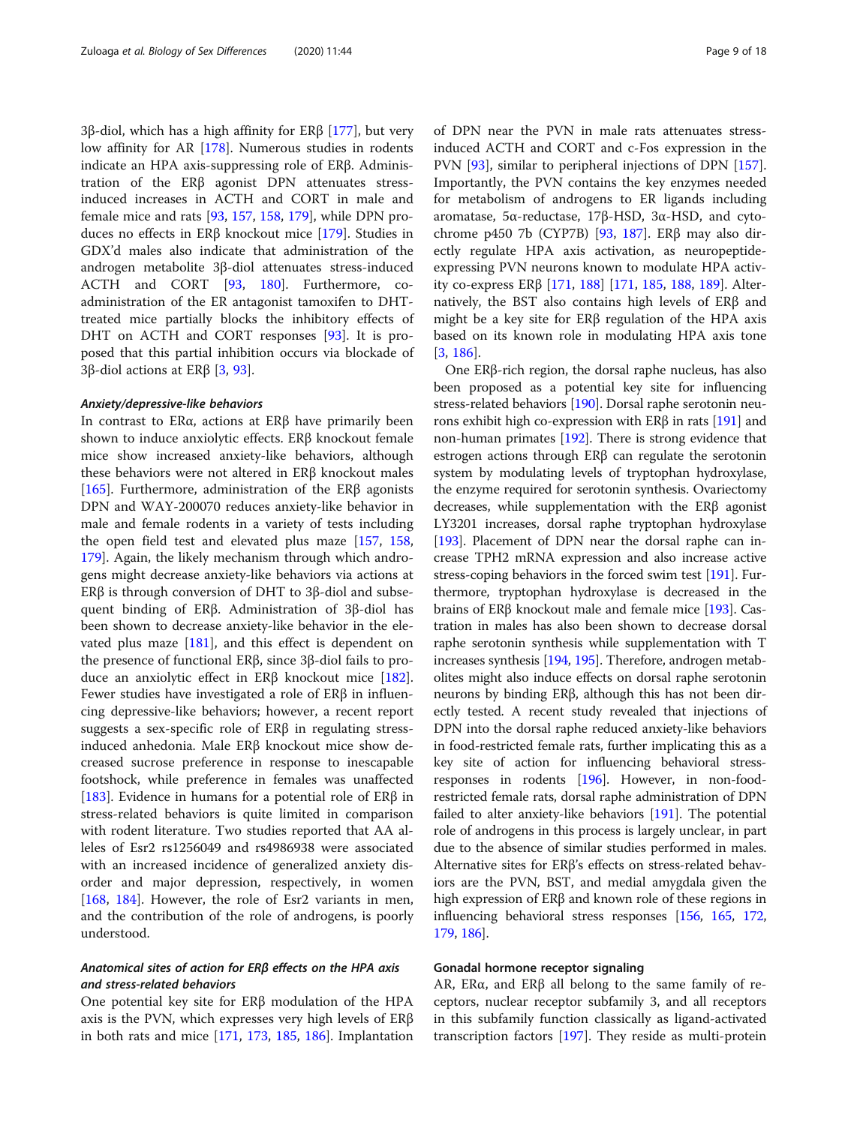3β-diol, which has a high affinity for ERβ [[177](#page-15-0)], but very low affinity for AR [[178](#page-15-0)]. Numerous studies in rodents indicate an HPA axis-suppressing role of ERβ. Administration of the ERβ agonist DPN attenuates stressinduced increases in ACTH and CORT in male and female mice and rats [[93,](#page-14-0) [157,](#page-15-0) [158](#page-15-0), [179](#page-15-0)], while DPN produces no effects in ERβ knockout mice [\[179\]](#page-15-0). Studies in GDX'd males also indicate that administration of the androgen metabolite 3β-diol attenuates stress-induced ACTH and CORT [\[93](#page-14-0), [180](#page-15-0)]. Furthermore, coadministration of the ER antagonist tamoxifen to DHTtreated mice partially blocks the inhibitory effects of DHT on ACTH and CORT responses [\[93](#page-14-0)]. It is proposed that this partial inhibition occurs via blockade of 3β-diol actions at ERβ [[3,](#page-12-0) [93\]](#page-14-0).

#### Anxiety/depressive-like behaviors

In contrast to ERα, actions at ERβ have primarily been shown to induce anxiolytic effects. ERβ knockout female mice show increased anxiety-like behaviors, although these behaviors were not altered in ERβ knockout males [[165\]](#page-15-0). Furthermore, administration of the ER $\beta$  agonists DPN and WAY-200070 reduces anxiety-like behavior in male and female rodents in a variety of tests including the open field test and elevated plus maze [[157](#page-15-0), [158](#page-15-0), [179](#page-15-0)]. Again, the likely mechanism through which androgens might decrease anxiety-like behaviors via actions at ERβ is through conversion of DHT to 3β-diol and subsequent binding of ERβ. Administration of 3β-diol has been shown to decrease anxiety-like behavior in the elevated plus maze [[181](#page-16-0)], and this effect is dependent on the presence of functional ERβ, since 3β-diol fails to produce an anxiolytic effect in ERβ knockout mice [\[182](#page-16-0)]. Fewer studies have investigated a role of ERβ in influencing depressive-like behaviors; however, a recent report suggests a sex-specific role of ERβ in regulating stressinduced anhedonia. Male ERβ knockout mice show decreased sucrose preference in response to inescapable footshock, while preference in females was unaffected [[183\]](#page-16-0). Evidence in humans for a potential role of  $ER\beta$  in stress-related behaviors is quite limited in comparison with rodent literature. Two studies reported that AA alleles of Esr2 rs1256049 and rs4986938 were associated with an increased incidence of generalized anxiety disorder and major depression, respectively, in women [[168,](#page-15-0) [184\]](#page-16-0). However, the role of Esr2 variants in men, and the contribution of the role of androgens, is poorly understood.

# Anatomical sites of action for ERβ effects on the HPA axis and stress-related behaviors

One potential key site for ERβ modulation of the HPA axis is the PVN, which expresses very high levels of ERβ in both rats and mice [\[171](#page-15-0), [173](#page-15-0), [185,](#page-16-0) [186\]](#page-16-0). Implantation

of DPN near the PVN in male rats attenuates stressinduced ACTH and CORT and c-Fos expression in the PVN [\[93\]](#page-14-0), similar to peripheral injections of DPN [[157](#page-15-0)]. Importantly, the PVN contains the key enzymes needed for metabolism of androgens to ER ligands including aromatase, 5α-reductase, 17β-HSD, 3α-HSD, and cytochrome p450 7b (CYP7B) [\[93,](#page-14-0) [187\]](#page-16-0). ERβ may also directly regulate HPA axis activation, as neuropeptideexpressing PVN neurons known to modulate HPA activity co-express ERβ [\[171,](#page-15-0) [188\]](#page-16-0) [\[171,](#page-15-0) [185,](#page-16-0) [188,](#page-16-0) [189\]](#page-16-0). Alternatively, the BST also contains high levels of ERβ and might be a key site for ERβ regulation of the HPA axis based on its known role in modulating HPA axis tone [[3,](#page-12-0) [186\]](#page-16-0).

One ERβ-rich region, the dorsal raphe nucleus, has also been proposed as a potential key site for influencing stress-related behaviors [[190](#page-16-0)]. Dorsal raphe serotonin neurons exhibit high co-expression with ERβ in rats [\[191\]](#page-16-0) and non-human primates [[192\]](#page-16-0). There is strong evidence that estrogen actions through ERβ can regulate the serotonin system by modulating levels of tryptophan hydroxylase, the enzyme required for serotonin synthesis. Ovariectomy decreases, while supplementation with the ERβ agonist LY3201 increases, dorsal raphe tryptophan hydroxylase [[193](#page-16-0)]. Placement of DPN near the dorsal raphe can increase TPH2 mRNA expression and also increase active stress-coping behaviors in the forced swim test [[191](#page-16-0)]. Furthermore, tryptophan hydroxylase is decreased in the brains of ERβ knockout male and female mice [[193](#page-16-0)]. Castration in males has also been shown to decrease dorsal raphe serotonin synthesis while supplementation with T increases synthesis [[194](#page-16-0), [195](#page-16-0)]. Therefore, androgen metabolites might also induce effects on dorsal raphe serotonin neurons by binding ERβ, although this has not been directly tested. A recent study revealed that injections of DPN into the dorsal raphe reduced anxiety-like behaviors in food-restricted female rats, further implicating this as a key site of action for influencing behavioral stressresponses in rodents [[196\]](#page-16-0). However, in non-foodrestricted female rats, dorsal raphe administration of DPN failed to alter anxiety-like behaviors [[191](#page-16-0)]. The potential role of androgens in this process is largely unclear, in part due to the absence of similar studies performed in males. Alternative sites for ERβ's effects on stress-related behaviors are the PVN, BST, and medial amygdala given the high expression of ERβ and known role of these regions in influencing behavioral stress responses [\[156,](#page-15-0) [165](#page-15-0), [172](#page-15-0), [179](#page-15-0), [186](#page-16-0)].

#### Gonadal hormone receptor signaling

AR, ERα, and ERβ all belong to the same family of receptors, nuclear receptor subfamily 3, and all receptors in this subfamily function classically as ligand-activated transcription factors [\[197](#page-16-0)]. They reside as multi-protein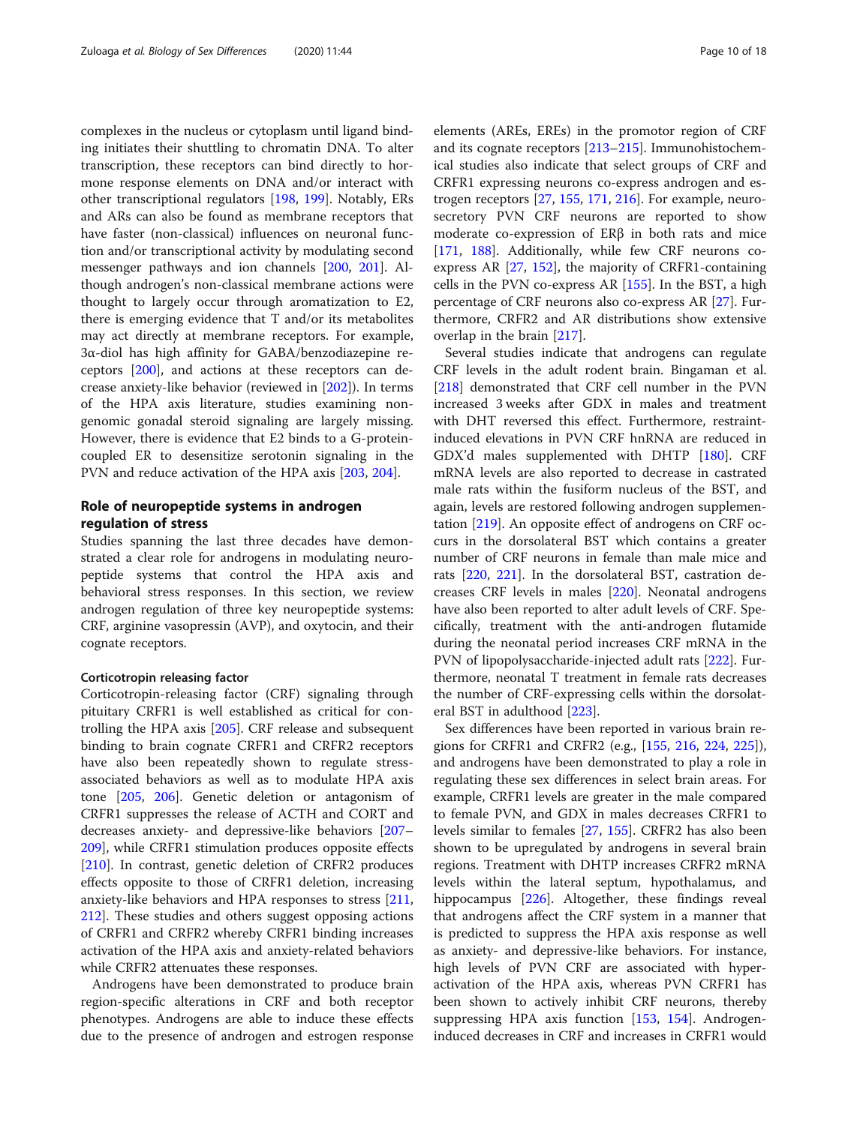complexes in the nucleus or cytoplasm until ligand binding initiates their shuttling to chromatin DNA. To alter transcription, these receptors can bind directly to hormone response elements on DNA and/or interact with other transcriptional regulators [[198,](#page-16-0) [199](#page-16-0)]. Notably, ERs and ARs can also be found as membrane receptors that have faster (non-classical) influences on neuronal function and/or transcriptional activity by modulating second messenger pathways and ion channels [\[200,](#page-16-0) [201\]](#page-16-0). Although androgen's non-classical membrane actions were thought to largely occur through aromatization to E2, there is emerging evidence that T and/or its metabolites may act directly at membrane receptors. For example, 3α-diol has high affinity for GABA/benzodiazepine receptors [[200\]](#page-16-0), and actions at these receptors can decrease anxiety-like behavior (reviewed in [\[202](#page-16-0)]). In terms of the HPA axis literature, studies examining nongenomic gonadal steroid signaling are largely missing. However, there is evidence that E2 binds to a G-proteincoupled ER to desensitize serotonin signaling in the PVN and reduce activation of the HPA axis [[203](#page-16-0), [204](#page-16-0)].

# Role of neuropeptide systems in androgen regulation of stress

Studies spanning the last three decades have demonstrated a clear role for androgens in modulating neuropeptide systems that control the HPA axis and behavioral stress responses. In this section, we review androgen regulation of three key neuropeptide systems: CRF, arginine vasopressin (AVP), and oxytocin, and their cognate receptors.

#### Corticotropin releasing factor

Corticotropin-releasing factor (CRF) signaling through pituitary CRFR1 is well established as critical for controlling the HPA axis [\[205\]](#page-16-0). CRF release and subsequent binding to brain cognate CRFR1 and CRFR2 receptors have also been repeatedly shown to regulate stressassociated behaviors as well as to modulate HPA axis tone [[205](#page-16-0), [206](#page-16-0)]. Genetic deletion or antagonism of CRFR1 suppresses the release of ACTH and CORT and decreases anxiety- and depressive-like behaviors [[207](#page-16-0)– [209](#page-16-0)], while CRFR1 stimulation produces opposite effects [[210\]](#page-16-0). In contrast, genetic deletion of CRFR2 produces effects opposite to those of CRFR1 deletion, increasing anxiety-like behaviors and HPA responses to stress [[211](#page-16-0), [212](#page-16-0)]. These studies and others suggest opposing actions of CRFR1 and CRFR2 whereby CRFR1 binding increases activation of the HPA axis and anxiety-related behaviors while CRFR2 attenuates these responses.

Androgens have been demonstrated to produce brain region-specific alterations in CRF and both receptor phenotypes. Androgens are able to induce these effects due to the presence of androgen and estrogen response elements (AREs, EREs) in the promotor region of CRF and its cognate receptors [[213](#page-16-0)–[215](#page-16-0)]. Immunohistochemical studies also indicate that select groups of CRF and CRFR1 expressing neurons co-express androgen and estrogen receptors [[27,](#page-12-0) [155,](#page-15-0) [171](#page-15-0), [216](#page-16-0)]. For example, neurosecretory PVN CRF neurons are reported to show moderate co-expression of ERβ in both rats and mice [[171,](#page-15-0) [188](#page-16-0)]. Additionally, while few CRF neurons coexpress AR [\[27,](#page-12-0) [152\]](#page-15-0), the majority of CRFR1-containing cells in the PVN co-express AR [\[155\]](#page-15-0). In the BST, a high percentage of CRF neurons also co-express AR [[27\]](#page-12-0). Furthermore, CRFR2 and AR distributions show extensive overlap in the brain [[217](#page-16-0)].

Several studies indicate that androgens can regulate CRF levels in the adult rodent brain. Bingaman et al. [[218\]](#page-16-0) demonstrated that CRF cell number in the PVN increased 3 weeks after GDX in males and treatment with DHT reversed this effect. Furthermore, restraintinduced elevations in PVN CRF hnRNA are reduced in GDX'd males supplemented with DHTP [\[180\]](#page-15-0). CRF mRNA levels are also reported to decrease in castrated male rats within the fusiform nucleus of the BST, and again, levels are restored following androgen supplementation [[219](#page-16-0)]. An opposite effect of androgens on CRF occurs in the dorsolateral BST which contains a greater number of CRF neurons in female than male mice and rats [\[220](#page-16-0), [221\]](#page-16-0). In the dorsolateral BST, castration decreases CRF levels in males [\[220](#page-16-0)]. Neonatal androgens have also been reported to alter adult levels of CRF. Specifically, treatment with the anti-androgen flutamide during the neonatal period increases CRF mRNA in the PVN of lipopolysaccharide-injected adult rats [[222](#page-16-0)]. Furthermore, neonatal T treatment in female rats decreases the number of CRF-expressing cells within the dorsolateral BST in adulthood [\[223](#page-16-0)].

Sex differences have been reported in various brain regions for CRFR1 and CRFR2 (e.g., [[155,](#page-15-0) [216](#page-16-0), [224,](#page-16-0) [225](#page-16-0)]), and androgens have been demonstrated to play a role in regulating these sex differences in select brain areas. For example, CRFR1 levels are greater in the male compared to female PVN, and GDX in males decreases CRFR1 to levels similar to females [\[27,](#page-12-0) [155](#page-15-0)]. CRFR2 has also been shown to be upregulated by androgens in several brain regions. Treatment with DHTP increases CRFR2 mRNA levels within the lateral septum, hypothalamus, and hippocampus [\[226\]](#page-17-0). Altogether, these findings reveal that androgens affect the CRF system in a manner that is predicted to suppress the HPA axis response as well as anxiety- and depressive-like behaviors. For instance, high levels of PVN CRF are associated with hyperactivation of the HPA axis, whereas PVN CRFR1 has been shown to actively inhibit CRF neurons, thereby suppressing HPA axis function [[153](#page-15-0), [154\]](#page-15-0). Androgeninduced decreases in CRF and increases in CRFR1 would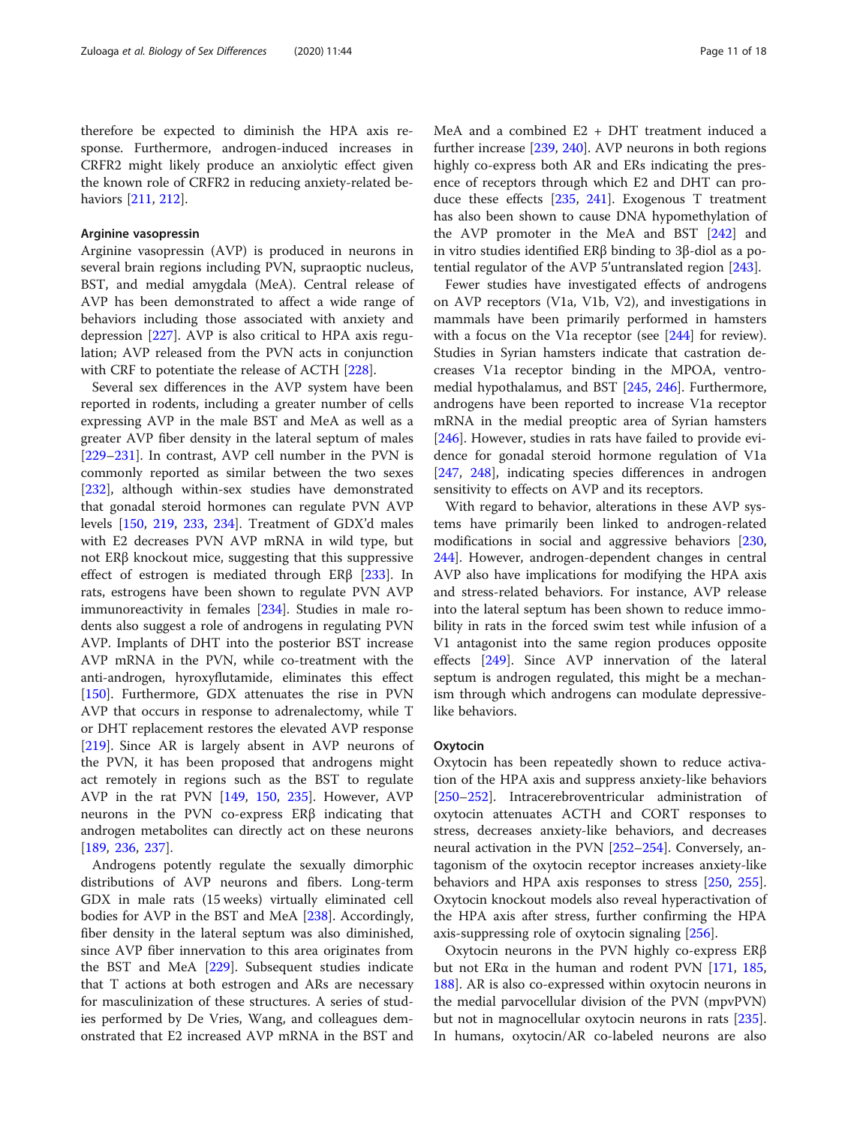therefore be expected to diminish the HPA axis response. Furthermore, androgen-induced increases in CRFR2 might likely produce an anxiolytic effect given the known role of CRFR2 in reducing anxiety-related behaviors [\[211,](#page-16-0) [212\]](#page-16-0).

#### Arginine vasopressin

Arginine vasopressin (AVP) is produced in neurons in several brain regions including PVN, supraoptic nucleus, BST, and medial amygdala (MeA). Central release of AVP has been demonstrated to affect a wide range of behaviors including those associated with anxiety and depression [\[227\]](#page-17-0). AVP is also critical to HPA axis regulation; AVP released from the PVN acts in conjunction with CRF to potentiate the release of ACTH [[228](#page-17-0)].

Several sex differences in the AVP system have been reported in rodents, including a greater number of cells expressing AVP in the male BST and MeA as well as a greater AVP fiber density in the lateral septum of males [[229](#page-17-0)–[231](#page-17-0)]. In contrast, AVP cell number in the PVN is commonly reported as similar between the two sexes [[232\]](#page-17-0), although within-sex studies have demonstrated that gonadal steroid hormones can regulate PVN AVP levels [\[150](#page-15-0), [219](#page-16-0), [233,](#page-17-0) [234\]](#page-17-0). Treatment of GDX'd males with E2 decreases PVN AVP mRNA in wild type, but not ERβ knockout mice, suggesting that this suppressive effect of estrogen is mediated through ERβ [\[233](#page-17-0)]. In rats, estrogens have been shown to regulate PVN AVP immunoreactivity in females [[234](#page-17-0)]. Studies in male rodents also suggest a role of androgens in regulating PVN AVP. Implants of DHT into the posterior BST increase AVP mRNA in the PVN, while co-treatment with the anti-androgen, hyroxyflutamide, eliminates this effect [[150\]](#page-15-0). Furthermore, GDX attenuates the rise in PVN AVP that occurs in response to adrenalectomy, while T or DHT replacement restores the elevated AVP response [[219\]](#page-16-0). Since AR is largely absent in AVP neurons of the PVN, it has been proposed that androgens might act remotely in regions such as the BST to regulate AVP in the rat PVN [\[149](#page-15-0), [150](#page-15-0), [235\]](#page-17-0). However, AVP neurons in the PVN co-express ERβ indicating that androgen metabolites can directly act on these neurons [[189,](#page-16-0) [236](#page-17-0), [237](#page-17-0)].

Androgens potently regulate the sexually dimorphic distributions of AVP neurons and fibers. Long-term GDX in male rats (15 weeks) virtually eliminated cell bodies for AVP in the BST and MeA [[238\]](#page-17-0). Accordingly, fiber density in the lateral septum was also diminished, since AVP fiber innervation to this area originates from the BST and MeA [[229\]](#page-17-0). Subsequent studies indicate that T actions at both estrogen and ARs are necessary for masculinization of these structures. A series of studies performed by De Vries, Wang, and colleagues demonstrated that E2 increased AVP mRNA in the BST and

MeA and a combined E2 + DHT treatment induced a further increase [\[239,](#page-17-0) [240\]](#page-17-0). AVP neurons in both regions highly co-express both AR and ERs indicating the presence of receptors through which E2 and DHT can produce these effects [[235,](#page-17-0) [241\]](#page-17-0). Exogenous T treatment has also been shown to cause DNA hypomethylation of the AVP promoter in the MeA and BST [[242](#page-17-0)] and in vitro studies identified ERβ binding to 3β-diol as a potential regulator of the AVP 5'untranslated region [[243\]](#page-17-0).

Fewer studies have investigated effects of androgens on AVP receptors (V1a, V1b, V2), and investigations in mammals have been primarily performed in hamsters with a focus on the V1a receptor (see [\[244\]](#page-17-0) for review). Studies in Syrian hamsters indicate that castration decreases V1a receptor binding in the MPOA, ventromedial hypothalamus, and BST [[245](#page-17-0), [246\]](#page-17-0). Furthermore, androgens have been reported to increase V1a receptor mRNA in the medial preoptic area of Syrian hamsters [[246\]](#page-17-0). However, studies in rats have failed to provide evidence for gonadal steroid hormone regulation of V1a [[247,](#page-17-0) [248](#page-17-0)], indicating species differences in androgen sensitivity to effects on AVP and its receptors.

With regard to behavior, alterations in these AVP systems have primarily been linked to androgen-related modifications in social and aggressive behaviors [[230](#page-17-0), [244](#page-17-0)]. However, androgen-dependent changes in central AVP also have implications for modifying the HPA axis and stress-related behaviors. For instance, AVP release into the lateral septum has been shown to reduce immobility in rats in the forced swim test while infusion of a V1 antagonist into the same region produces opposite effects [\[249\]](#page-17-0). Since AVP innervation of the lateral septum is androgen regulated, this might be a mechanism through which androgens can modulate depressivelike behaviors.

#### **Oxytocin**

Oxytocin has been repeatedly shown to reduce activation of the HPA axis and suppress anxiety-like behaviors [[250](#page-17-0)–[252](#page-17-0)]. Intracerebroventricular administration of oxytocin attenuates ACTH and CORT responses to stress, decreases anxiety-like behaviors, and decreases neural activation in the PVN [[252](#page-17-0)–[254](#page-17-0)]. Conversely, antagonism of the oxytocin receptor increases anxiety-like behaviors and HPA axis responses to stress [\[250](#page-17-0), [255](#page-17-0)]. Oxytocin knockout models also reveal hyperactivation of the HPA axis after stress, further confirming the HPA axis-suppressing role of oxytocin signaling [\[256](#page-17-0)].

Oxytocin neurons in the PVN highly co-express ERβ but not ER $\alpha$  in the human and rodent PVN [[171](#page-15-0), [185](#page-16-0), [188](#page-16-0)]. AR is also co-expressed within oxytocin neurons in the medial parvocellular division of the PVN (mpvPVN) but not in magnocellular oxytocin neurons in rats [[235](#page-17-0)]. In humans, oxytocin/AR co-labeled neurons are also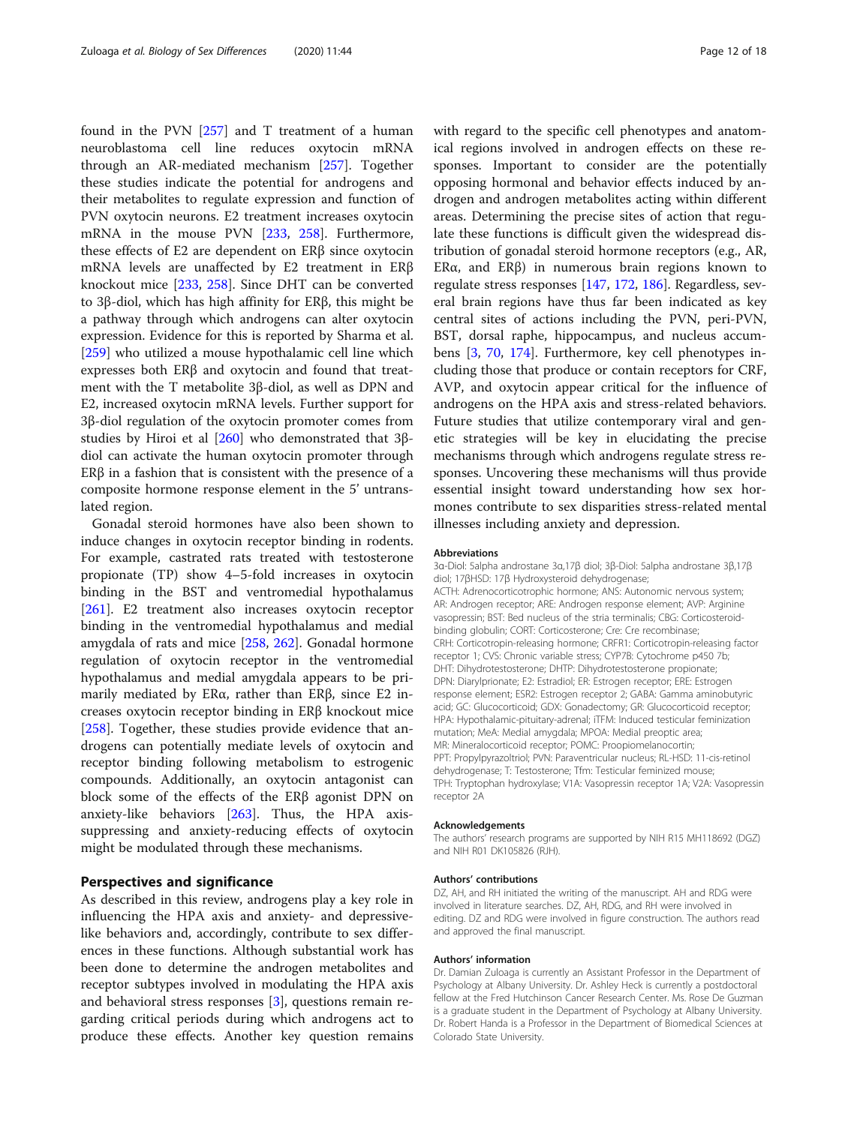found in the PVN [[257](#page-17-0)] and T treatment of a human neuroblastoma cell line reduces oxytocin mRNA through an AR-mediated mechanism [\[257\]](#page-17-0). Together these studies indicate the potential for androgens and their metabolites to regulate expression and function of PVN oxytocin neurons. E2 treatment increases oxytocin mRNA in the mouse PVN [[233,](#page-17-0) [258\]](#page-17-0). Furthermore, these effects of E2 are dependent on ERβ since oxytocin mRNA levels are unaffected by E2 treatment in ERβ knockout mice [[233,](#page-17-0) [258](#page-17-0)]. Since DHT can be converted to 3β-diol, which has high affinity for ERβ, this might be a pathway through which androgens can alter oxytocin expression. Evidence for this is reported by Sharma et al. [[259\]](#page-17-0) who utilized a mouse hypothalamic cell line which expresses both ERβ and oxytocin and found that treatment with the T metabolite 3β-diol, as well as DPN and E2, increased oxytocin mRNA levels. Further support for 3β-diol regulation of the oxytocin promoter comes from studies by Hiroi et al [[260](#page-17-0)] who demonstrated that 3βdiol can activate the human oxytocin promoter through ER $\beta$  in a fashion that is consistent with the presence of a composite hormone response element in the 5' untranslated region.

Gonadal steroid hormones have also been shown to induce changes in oxytocin receptor binding in rodents. For example, castrated rats treated with testosterone propionate (TP) show 4–5-fold increases in oxytocin binding in the BST and ventromedial hypothalamus [[261\]](#page-17-0). E2 treatment also increases oxytocin receptor binding in the ventromedial hypothalamus and medial amygdala of rats and mice [\[258,](#page-17-0) [262](#page-17-0)]. Gonadal hormone regulation of oxytocin receptor in the ventromedial hypothalamus and medial amygdala appears to be primarily mediated by ERα, rather than ERβ, since E2 increases oxytocin receptor binding in ERβ knockout mice [[258\]](#page-17-0). Together, these studies provide evidence that androgens can potentially mediate levels of oxytocin and receptor binding following metabolism to estrogenic compounds. Additionally, an oxytocin antagonist can block some of the effects of the ERβ agonist DPN on anxiety-like behaviors [\[263](#page-17-0)]. Thus, the HPA axissuppressing and anxiety-reducing effects of oxytocin might be modulated through these mechanisms.

# Perspectives and significance

As described in this review, androgens play a key role in influencing the HPA axis and anxiety- and depressivelike behaviors and, accordingly, contribute to sex differences in these functions. Although substantial work has been done to determine the androgen metabolites and receptor subtypes involved in modulating the HPA axis and behavioral stress responses [[3\]](#page-12-0), questions remain regarding critical periods during which androgens act to produce these effects. Another key question remains

with regard to the specific cell phenotypes and anatomical regions involved in androgen effects on these responses. Important to consider are the potentially opposing hormonal and behavior effects induced by androgen and androgen metabolites acting within different areas. Determining the precise sites of action that regulate these functions is difficult given the widespread distribution of gonadal steroid hormone receptors (e.g., AR, ERα, and ERβ) in numerous brain regions known to regulate stress responses [[147](#page-15-0), [172](#page-15-0), [186\]](#page-16-0). Regardless, several brain regions have thus far been indicated as key central sites of actions including the PVN, peri-PVN, BST, dorsal raphe, hippocampus, and nucleus accumbens [[3,](#page-12-0) [70,](#page-13-0) [174\]](#page-15-0). Furthermore, key cell phenotypes including those that produce or contain receptors for CRF, AVP, and oxytocin appear critical for the influence of androgens on the HPA axis and stress-related behaviors. Future studies that utilize contemporary viral and genetic strategies will be key in elucidating the precise mechanisms through which androgens regulate stress responses. Uncovering these mechanisms will thus provide essential insight toward understanding how sex hormones contribute to sex disparities stress-related mental illnesses including anxiety and depression.

#### Abbreviations

3α-Diol: 5alpha androstane 3α,17β diol; 3β-Diol: 5alpha androstane 3β,17β diol; 17βHSD: 17β Hydroxysteroid dehydrogenase; ACTH: Adrenocorticotrophic hormone; ANS: Autonomic nervous system; AR: Androgen receptor; ARE: Androgen response element; AVP: Arginine vasopressin; BST: Bed nucleus of the stria terminalis; CBG: Corticosteroidbinding globulin; CORT: Corticosterone; Cre: Cre recombinase; CRH: Corticotropin-releasing hormone; CRFR1: Corticotropin-releasing factor receptor 1; CVS: Chronic variable stress; CYP7B: Cytochrome p450 7b; DHT: Dihydrotestosterone; DHTP: Dihydrotestosterone propionate; DPN: Diarylprionate; E2: Estradiol; ER: Estrogen receptor; ERE: Estrogen response element; ESR2: Estrogen receptor 2; GABA: Gamma aminobutyric acid; GC: Glucocorticoid; GDX: Gonadectomy; GR: Glucocorticoid receptor; HPA: Hypothalamic-pituitary-adrenal; iTFM: Induced testicular feminization mutation; MeA: Medial amygdala; MPOA: Medial preoptic area; MR: Mineralocorticoid receptor; POMC: Proopiomelanocortin; PPT: Propylpyrazoltriol; PVN: Paraventricular nucleus; RL-HSD: 11-cis-retinol dehydrogenase; T: Testosterone; Tfm: Testicular feminized mouse; TPH: Tryptophan hydroxylase; V1A: Vasopressin receptor 1A; V2A: Vasopressin receptor 2A

#### Acknowledgements

The authors' research programs are supported by NIH R15 MH118692 (DGZ) and NIH R01 DK105826 (RJH).

#### Authors' contributions

DZ, AH, and RH initiated the writing of the manuscript. AH and RDG were involved in literature searches. DZ, AH, RDG, and RH were involved in editing. DZ and RDG were involved in figure construction. The authors read and approved the final manuscript.

#### Authors' information

Dr. Damian Zuloaga is currently an Assistant Professor in the Department of Psychology at Albany University. Dr. Ashley Heck is currently a postdoctoral fellow at the Fred Hutchinson Cancer Research Center. Ms. Rose De Guzman is a graduate student in the Department of Psychology at Albany University. Dr. Robert Handa is a Professor in the Department of Biomedical Sciences at Colorado State University.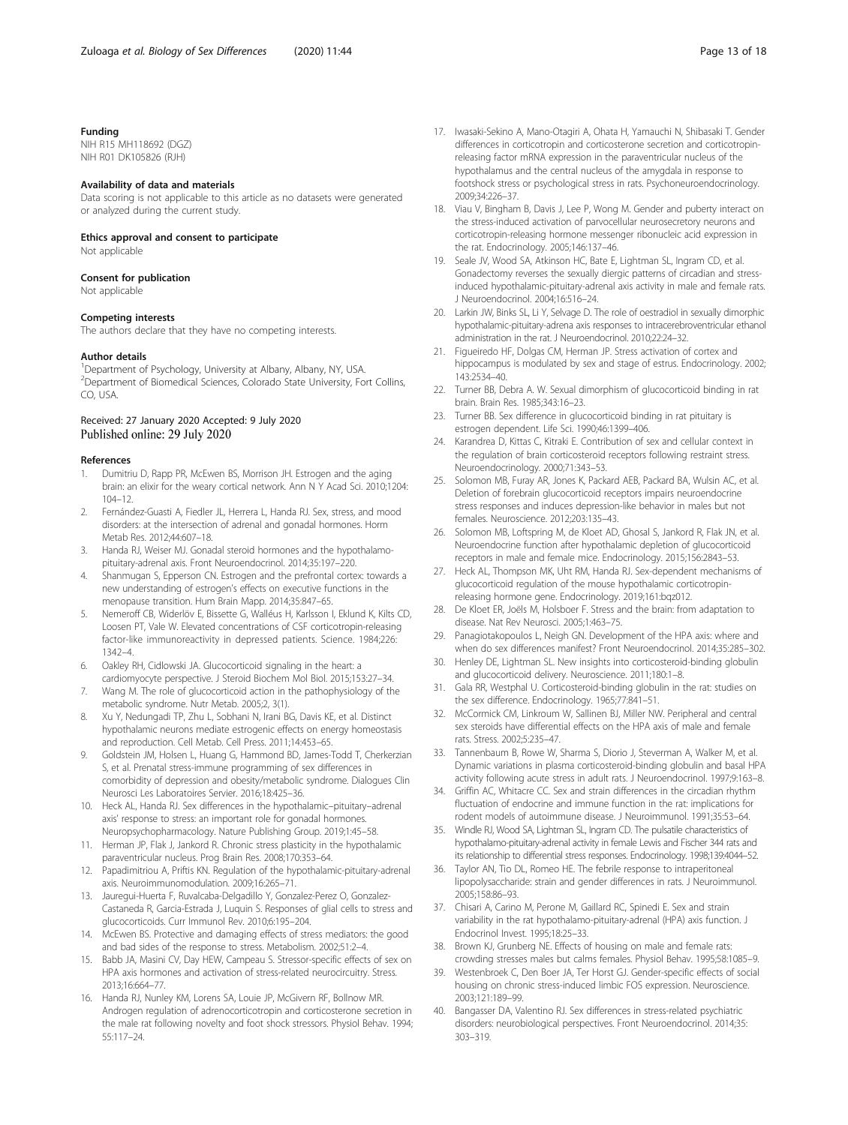#### <span id="page-12-0"></span>Funding

NIH R15 MH118692 (DGZ) NIH R01 DK105826 (RJH)

#### Availability of data and materials

Data scoring is not applicable to this article as no datasets were generated or analyzed during the current study.

# Ethics approval and consent to participate

Not applicable

#### Consent for publication

Not applicable

#### Competing interests

The authors declare that they have no competing interests.

#### Author details

<sup>1</sup>Department of Psychology, University at Albany, Albany, NY, USA. 2 Department of Biomedical Sciences, Colorado State University, Fort Collins, CO, USA.

# Received: 27 January 2020 Accepted: 9 July 2020 Published online: 29 July 2020

#### References

- 1. Dumitriu D, Rapp PR, McEwen BS, Morrison JH. Estrogen and the aging brain: an elixir for the weary cortical network. Ann N Y Acad Sci. 2010;1204: 104–12.
- 2. Fernández-Guasti A, Fiedler JL, Herrera L, Handa RJ. Sex, stress, and mood disorders: at the intersection of adrenal and gonadal hormones. Horm Metab Res. 2012;44:607–18.
- 3. Handa RJ, Weiser MJ. Gonadal steroid hormones and the hypothalamopituitary-adrenal axis. Front Neuroendocrinol. 2014;35:197–220.
- 4. Shanmugan S, Epperson CN. Estrogen and the prefrontal cortex: towards a new understanding of estrogen's effects on executive functions in the menopause transition. Hum Brain Mapp. 2014;35:847–65.
- 5. Nemeroff CB, Widerlöv E, Bissette G, Walléus H, Karlsson I, Eklund K, Kilts CD, Loosen PT, Vale W. Elevated concentrations of CSF corticotropin-releasing factor-like immunoreactivity in depressed patients. Science. 1984;226: 1342–4.
- 6. Oakley RH, Cidlowski JA. Glucocorticoid signaling in the heart: a cardiomyocyte perspective. J Steroid Biochem Mol Biol. 2015;153:27–34.
- 7. Wang M. The role of glucocorticoid action in the pathophysiology of the metabolic syndrome. Nutr Metab. 2005;2, 3(1).
- 8. Xu Y, Nedungadi TP, Zhu L, Sobhani N, Irani BG, Davis KE, et al. Distinct hypothalamic neurons mediate estrogenic effects on energy homeostasis and reproduction. Cell Metab. Cell Press. 2011;14:453–65.
- 9. Goldstein JM, Holsen L, Huang G, Hammond BD, James-Todd T, Cherkerzian S, et al. Prenatal stress-immune programming of sex differences in comorbidity of depression and obesity/metabolic syndrome. Dialogues Clin Neurosci Les Laboratoires Servier. 2016;18:425–36.
- 10. Heck AL, Handa RJ. Sex differences in the hypothalamic–pituitary–adrenal axis' response to stress: an important role for gonadal hormones. Neuropsychopharmacology. Nature Publishing Group. 2019;1:45–58.
- 11. Herman JP, Flak J, Jankord R. Chronic stress plasticity in the hypothalamic paraventricular nucleus. Prog Brain Res. 2008;170:353–64.
- 12. Papadimitriou A, Priftis KN. Regulation of the hypothalamic-pituitary-adrenal axis. Neuroimmunomodulation. 2009;16:265–71.
- 13. Jauregui-Huerta F, Ruvalcaba-Delgadillo Y, Gonzalez-Perez O, Gonzalez-Castaneda R, Garcia-Estrada J, Luquin S. Responses of glial cells to stress and glucocorticoids. Curr Immunol Rev. 2010;6:195–204.
- 14. McEwen BS. Protective and damaging effects of stress mediators: the good and bad sides of the response to stress. Metabolism. 2002;51:2–4.
- 15. Babb JA, Masini CV, Day HEW, Campeau S. Stressor-specific effects of sex on HPA axis hormones and activation of stress-related neurocircuitry. Stress. 2013;16:664–77.
- 16. Handa RJ, Nunley KM, Lorens SA, Louie JP, McGivern RF, Bollnow MR. Androgen regulation of adrenocorticotropin and corticosterone secretion in the male rat following novelty and foot shock stressors. Physiol Behav. 1994; 55:117–24.
- 17. Iwasaki-Sekino A, Mano-Otagiri A, Ohata H, Yamauchi N, Shibasaki T. Gender differences in corticotropin and corticosterone secretion and corticotropinreleasing factor mRNA expression in the paraventricular nucleus of the hypothalamus and the central nucleus of the amygdala in response to footshock stress or psychological stress in rats. Psychoneuroendocrinology. 2009;34:226–37.
- 18. Viau V, Bingham B, Davis J, Lee P, Wong M. Gender and puberty interact on the stress-induced activation of parvocellular neurosecretory neurons and corticotropin-releasing hormone messenger ribonucleic acid expression in the rat. Endocrinology. 2005;146:137–46.
- 19. Seale JV, Wood SA, Atkinson HC, Bate E, Lightman SL, Ingram CD, et al. Gonadectomy reverses the sexually diergic patterns of circadian and stressinduced hypothalamic-pituitary-adrenal axis activity in male and female rats. J Neuroendocrinol. 2004;16:516–24.
- 20. Larkin JW, Binks SL, Li Y, Selvage D. The role of oestradiol in sexually dimorphic hypothalamic-pituitary-adrena axis responses to intracerebroventricular ethanol administration in the rat. J Neuroendocrinol. 2010;22:24–32.
- 21. Figueiredo HF, Dolgas CM, Herman JP. Stress activation of cortex and hippocampus is modulated by sex and stage of estrus. Endocrinology. 2002; 143:2534–40.
- 22. Turner BB, Debra A. W. Sexual dimorphism of glucocorticoid binding in rat brain. Brain Res. 1985;343:16–23.
- 23. Turner BB. Sex difference in glucocorticoid binding in rat pituitary is estrogen dependent. Life Sci. 1990;46:1399–406.
- 24. Karandrea D, Kittas C, Kitraki E. Contribution of sex and cellular context in the regulation of brain corticosteroid receptors following restraint stress. Neuroendocrinology. 2000;71:343–53.
- 25. Solomon MB, Furay AR, Jones K, Packard AEB, Packard BA, Wulsin AC, et al. Deletion of forebrain glucocorticoid receptors impairs neuroendocrine stress responses and induces depression-like behavior in males but not females. Neuroscience. 2012;203:135–43.
- 26. Solomon MB, Loftspring M, de Kloet AD, Ghosal S, Jankord R, Flak JN, et al. Neuroendocrine function after hypothalamic depletion of glucocorticoid receptors in male and female mice. Endocrinology. 2015;156:2843–53.
- 27. Heck AL, Thompson MK, Uht RM, Handa RJ. Sex-dependent mechanisms of glucocorticoid regulation of the mouse hypothalamic corticotropinreleasing hormone gene. Endocrinology. 2019;161:bqz012.
- 28. De Kloet ER, Joëls M, Holsboer F. Stress and the brain: from adaptation to disease. Nat Rev Neurosci. 2005;1:463–75.
- Panagiotakopoulos L, Neigh GN. Development of the HPA axis: where and when do sex differences manifest? Front Neuroendocrinol. 2014;35:285–302.
- 30. Henley DE, Lightman SL. New insights into corticosteroid-binding globulin and glucocorticoid delivery. Neuroscience. 2011;180:1–8.
- 31. Gala RR, Westphal U. Corticosteroid-binding globulin in the rat: studies on the sex difference. Endocrinology. 1965;77:841–51.
- 32. McCormick CM, Linkroum W, Sallinen BJ, Miller NW. Peripheral and central sex steroids have differential effects on the HPA axis of male and female rats. Stress. 2002;5:235–47.
- 33. Tannenbaum B, Rowe W, Sharma S, Diorio J, Steverman A, Walker M, et al. Dynamic variations in plasma corticosteroid-binding globulin and basal HPA activity following acute stress in adult rats. J Neuroendocrinol. 1997;9:163–8.
- 34. Griffin AC, Whitacre CC. Sex and strain differences in the circadian rhythm fluctuation of endocrine and immune function in the rat: implications for rodent models of autoimmune disease. J Neuroimmunol. 1991;35:53–64.
- 35. Windle RJ, Wood SA, Lightman SL, Ingram CD. The pulsatile characteristics of hypothalamo-pituitary-adrenal activity in female Lewis and Fischer 344 rats and its relationship to differential stress responses. Endocrinology. 1998;139:4044–52.
- 36. Taylor AN, Tio DL, Romeo HE. The febrile response to intraperitoneal lipopolysaccharide: strain and gender differences in rats. J Neuroimmunol. 2005;158:86–93.
- 37. Chisari A, Carino M, Perone M, Gaillard RC, Spinedi E. Sex and strain variability in the rat hypothalamo-pituitary-adrenal (HPA) axis function. J Endocrinol Invest. 1995;18:25–33.
- 38. Brown KJ, Grunberg NE. Effects of housing on male and female rats: crowding stresses males but calms females. Physiol Behav. 1995;58:1085–9.
- 39. Westenbroek C, Den Boer JA, Ter Horst GJ. Gender-specific effects of social housing on chronic stress-induced limbic FOS expression. Neuroscience. 2003;121:189–99.
- 40. Bangasser DA, Valentino RJ. Sex differences in stress-related psychiatric disorders: neurobiological perspectives. Front Neuroendocrinol. 2014;35: 303–319.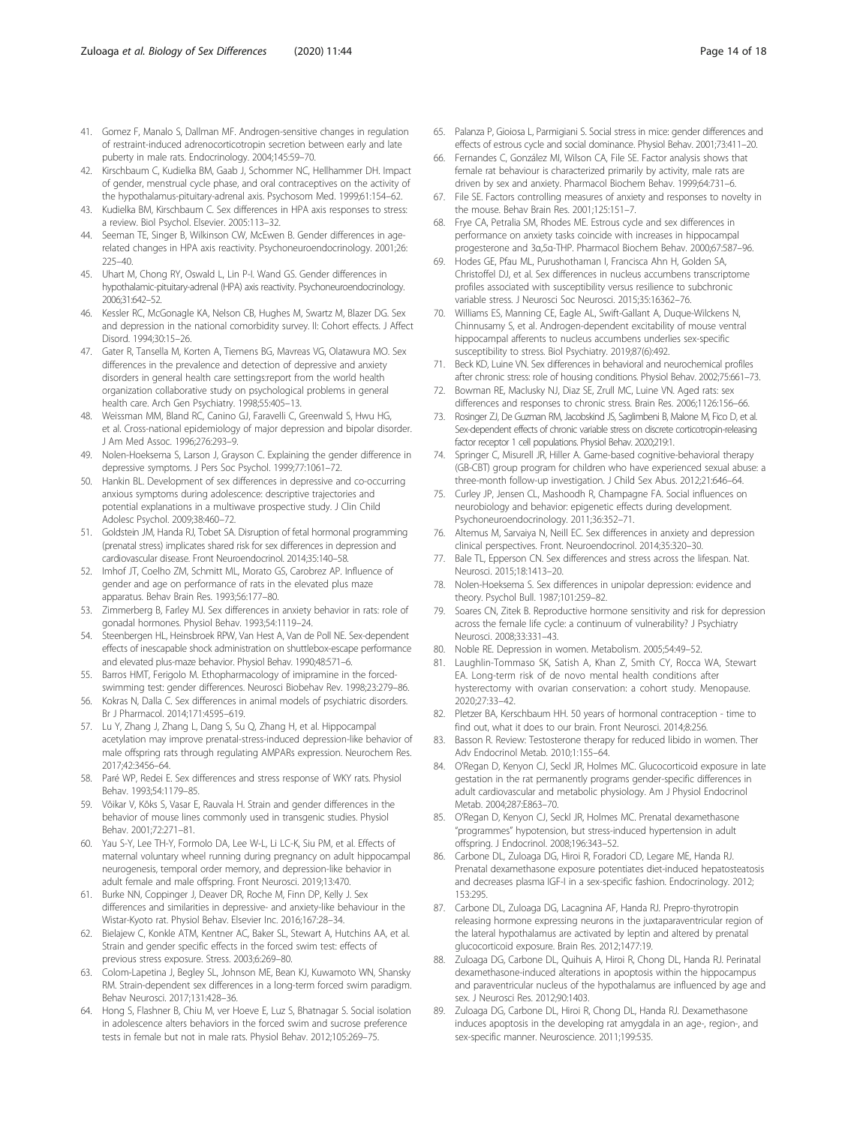- <span id="page-13-0"></span>41. Gomez F, Manalo S, Dallman MF. Androgen-sensitive changes in regulation of restraint-induced adrenocorticotropin secretion between early and late puberty in male rats. Endocrinology. 2004;145:59–70.
- 42. Kirschbaum C, Kudielka BM, Gaab J, Schommer NC, Hellhammer DH. Impact of gender, menstrual cycle phase, and oral contraceptives on the activity of the hypothalamus-pituitary-adrenal axis. Psychosom Med. 1999;61:154–62.
- 43. Kudielka BM, Kirschbaum C. Sex differences in HPA axis responses to stress: a review. Biol Psychol. Elsevier. 2005:113–32.
- 44. Seeman TE, Singer B, Wilkinson CW, McEwen B. Gender differences in agerelated changes in HPA axis reactivity. Psychoneuroendocrinology. 2001;26: 225–40.
- 45. Uhart M, Chong RY, Oswald L, Lin P-I. Wand GS. Gender differences in hypothalamic-pituitary-adrenal (HPA) axis reactivity. Psychoneuroendocrinology. 2006;31:642–52.
- 46. Kessler RC, McGonagle KA, Nelson CB, Hughes M, Swartz M, Blazer DG. Sex and depression in the national comorbidity survey. II: Cohort effects. J Affect Disord. 1994;30:15–26.
- 47. Gater R, Tansella M, Korten A, Tiemens BG, Mavreas VG, Olatawura MO. Sex differences in the prevalence and detection of depressive and anxiety disorders in general health care settings:report from the world health organization collaborative study on psychological problems in general health care. Arch Gen Psychiatry. 1998;55:405–13.
- 48. Weissman MM, Bland RC, Canino GJ, Faravelli C, Greenwald S, Hwu HG, et al. Cross-national epidemiology of major depression and bipolar disorder. J Am Med Assoc. 1996;276:293–9.
- 49. Nolen-Hoeksema S, Larson J, Grayson C. Explaining the gender difference in depressive symptoms. J Pers Soc Psychol. 1999;77:1061–72.
- 50. Hankin BL. Development of sex differences in depressive and co-occurring anxious symptoms during adolescence: descriptive trajectories and potential explanations in a multiwave prospective study. J Clin Child Adolesc Psychol. 2009;38:460–72.
- 51. Goldstein JM, Handa RJ, Tobet SA. Disruption of fetal hormonal programming (prenatal stress) implicates shared risk for sex differences in depression and cardiovascular disease. Front Neuroendocrinol. 2014;35:140–58.
- 52. Imhof JT, Coelho ZM, Schmitt ML, Morato GS, Carobrez AP. Influence of gender and age on performance of rats in the elevated plus maze apparatus. Behav Brain Res. 1993;56:177–80.
- 53. Zimmerberg B, Farley MJ. Sex differences in anxiety behavior in rats: role of gonadal hormones. Physiol Behav. 1993;54:1119–24.
- 54. Steenbergen HL, Heinsbroek RPW, Van Hest A, Van de Poll NE. Sex-dependent effects of inescapable shock administration on shuttlebox-escape performance and elevated plus-maze behavior. Physiol Behav. 1990;48:571–6.
- 55. Barros HMT, Ferigolo M. Ethopharmacology of imipramine in the forcedswimming test: gender differences. Neurosci Biobehav Rev. 1998;23:279–86.
- 56. Kokras N, Dalla C. Sex differences in animal models of psychiatric disorders. Br J Pharmacol. 2014;171:4595–619.
- 57. Lu Y, Zhang J, Zhang L, Dang S, Su Q, Zhang H, et al. Hippocampal acetylation may improve prenatal-stress-induced depression-like behavior of male offspring rats through regulating AMPARs expression. Neurochem Res. 2017;42:3456–64.
- 58. Paré WP, Redei E. Sex differences and stress response of WKY rats. Physiol Behav. 1993;54:1179–85.
- 59. Võikar V, Kõks S, Vasar E, Rauvala H. Strain and gender differences in the behavior of mouse lines commonly used in transgenic studies. Physiol Behav. 2001;72:271–81.
- 60. Yau S-Y, Lee TH-Y, Formolo DA, Lee W-L, Li LC-K, Siu PM, et al. Effects of maternal voluntary wheel running during pregnancy on adult hippocampal neurogenesis, temporal order memory, and depression-like behavior in adult female and male offspring. Front Neurosci. 2019;13:470.
- 61. Burke NN, Coppinger J, Deaver DR, Roche M, Finn DP, Kelly J. Sex differences and similarities in depressive- and anxiety-like behaviour in the Wistar-Kyoto rat. Physiol Behav. Elsevier Inc. 2016;167:28–34.
- 62. Bielajew C, Konkle ATM, Kentner AC, Baker SL, Stewart A, Hutchins AA, et al. Strain and gender specific effects in the forced swim test: effects of previous stress exposure. Stress. 2003;6:269–80.
- 63. Colom-Lapetina J, Begley SL, Johnson ME, Bean KJ, Kuwamoto WN, Shansky RM. Strain-dependent sex differences in a long-term forced swim paradigm. Behav Neurosci. 2017;131:428–36.
- 64. Hong S, Flashner B, Chiu M, ver Hoeve E, Luz S, Bhatnagar S. Social isolation in adolescence alters behaviors in the forced swim and sucrose preference tests in female but not in male rats. Physiol Behav. 2012;105:269–75.
- 65. Palanza P, Gioiosa L, Parmigiani S. Social stress in mice: gender differences and effects of estrous cycle and social dominance. Physiol Behav. 2001;73:411–20.
- 66. Fernandes C, González MI, Wilson CA, File SE. Factor analysis shows that female rat behaviour is characterized primarily by activity, male rats are driven by sex and anxiety. Pharmacol Biochem Behav. 1999;64:731–6.
- 67. File SE. Factors controlling measures of anxiety and responses to novelty in the mouse. Behav Brain Res. 2001;125:151–7.
- 68. Frye CA, Petralia SM, Rhodes ME. Estrous cycle and sex differences in performance on anxiety tasks coincide with increases in hippocampal progesterone and 3α,5α-THP. Pharmacol Biochem Behav. 2000;67:587–96.
- 69. Hodes GE, Pfau ML, Purushothaman I, Francisca Ahn H, Golden SA, Christoffel DJ, et al. Sex differences in nucleus accumbens transcriptome profiles associated with susceptibility versus resilience to subchronic variable stress. J Neurosci Soc Neurosci. 2015;35:16362–76.
- 70. Williams ES, Manning CE, Eagle AL, Swift-Gallant A, Duque-Wilckens N, Chinnusamy S, et al. Androgen-dependent excitability of mouse ventral hippocampal afferents to nucleus accumbens underlies sex-specific susceptibility to stress. Biol Psychiatry. 2019;87(6):492.
- 71. Beck KD, Luine VN. Sex differences in behavioral and neurochemical profiles after chronic stress: role of housing conditions. Physiol Behav. 2002;75:661–73.
- 72. Bowman RE, Maclusky NJ, Diaz SE, Zrull MC, Luine VN. Aged rats: sex differences and responses to chronic stress. Brain Res. 2006;1126:156–66.
- 73. Rosinger ZJ, De Guzman RM, Jacobskind JS, Saglimbeni B, Malone M, Fico D, et al. Sex-dependent effects of chronic variable stress on discrete corticotropin-releasing factor receptor 1 cell populations. Physiol Behav. 2020;219:1.
- 74. Springer C, Misurell JR, Hiller A. Game-based cognitive-behavioral therapy (GB-CBT) group program for children who have experienced sexual abuse: a three-month follow-up investigation. J Child Sex Abus. 2012;21:646–64.
- Curley JP, Jensen CL, Mashoodh R, Champagne FA. Social influences on neurobiology and behavior: epigenetic effects during development. Psychoneuroendocrinology. 2011;36:352–71.
- 76. Altemus M, Sarvaiya N, Neill EC. Sex differences in anxiety and depression clinical perspectives. Front. Neuroendocrinol. 2014;35:320–30.
- 77. Bale TL, Epperson CN. Sex differences and stress across the lifespan. Nat. Neurosci. 2015;18:1413–20.
- 78. Nolen-Hoeksema S. Sex differences in unipolar depression: evidence and theory. Psychol Bull. 1987;101:259–82.
- 79. Soares CN, Zitek B. Reproductive hormone sensitivity and risk for depression across the female life cycle: a continuum of vulnerability? J Psychiatry Neurosci. 2008;33:331–43.
- 80. Noble RE. Depression in women. Metabolism. 2005;54:49–52.
- 81. Laughlin-Tommaso SK, Satish A, Khan Z, Smith CY, Rocca WA, Stewart EA. Long-term risk of de novo mental health conditions after hysterectomy with ovarian conservation: a cohort study. Menopause. 2020;27:33–42.
- 82. Pletzer BA, Kerschbaum HH. 50 years of hormonal contraception time to find out, what it does to our brain. Front Neurosci. 2014;8:256.
- 83. Basson R. Review: Testosterone therapy for reduced libido in women. Ther Adv Endocrinol Metab. 2010;1:155–64.
- 84. O'Regan D, Kenyon CJ, Seckl JR, Holmes MC. Glucocorticoid exposure in late gestation in the rat permanently programs gender-specific differences in adult cardiovascular and metabolic physiology. Am J Physiol Endocrinol Metab. 2004;287:E863–70.
- 85. O'Regan D, Kenyon CJ, Seckl JR, Holmes MC. Prenatal dexamethasone "programmes" hypotension, but stress-induced hypertension in adult offspring. J Endocrinol. 2008;196:343–52.
- 86. Carbone DL, Zuloaga DG, Hiroi R, Foradori CD, Legare ME, Handa RJ. Prenatal dexamethasone exposure potentiates diet-induced hepatosteatosis and decreases plasma IGF-I in a sex-specific fashion. Endocrinology. 2012; 153:295.
- 87. Carbone DL, Zuloaga DG, Lacagnina AF, Handa RJ. Prepro-thyrotropin releasing hormone expressing neurons in the juxtaparaventricular region of the lateral hypothalamus are activated by leptin and altered by prenatal glucocorticoid exposure. Brain Res. 2012;1477:19.
- Zuloaga DG, Carbone DL, Quihuis A, Hiroi R, Chong DL, Handa RJ. Perinatal dexamethasone-induced alterations in apoptosis within the hippocampus and paraventricular nucleus of the hypothalamus are influenced by age and sex. J Neurosci Res. 2012;90:1403.
- Zuloaga DG, Carbone DL, Hiroi R, Chong DL, Handa RJ. Dexamethasone induces apoptosis in the developing rat amygdala in an age-, region-, and sex-specific manner. Neuroscience. 2011;199:535.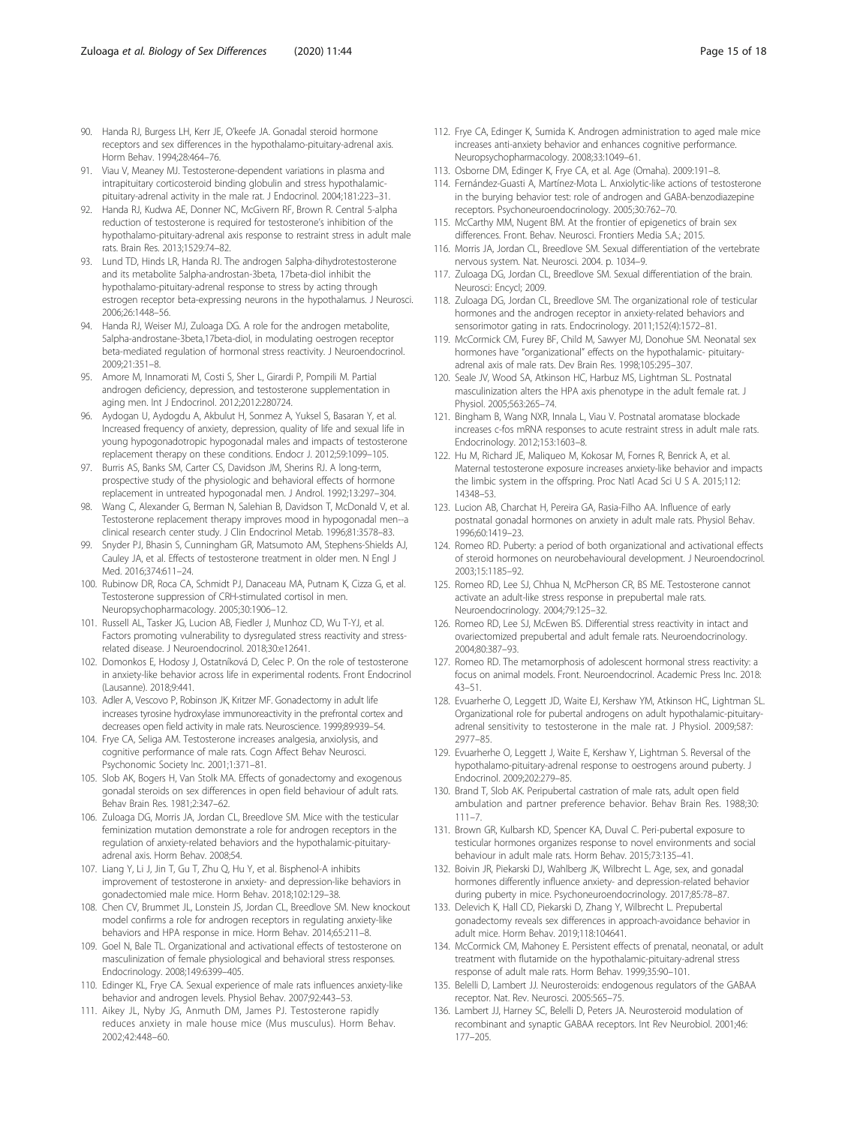- <span id="page-14-0"></span>90. Handa RJ, Burgess LH, Kerr JE, O'keefe JA. Gonadal steroid hormone receptors and sex differences in the hypothalamo-pituitary-adrenal axis. Horm Behav. 1994;28:464–76.
- 91. Viau V, Meaney MJ. Testosterone-dependent variations in plasma and intrapituitary corticosteroid binding globulin and stress hypothalamicpituitary-adrenal activity in the male rat. J Endocrinol. 2004;181:223–31.
- 92. Handa RJ, Kudwa AE, Donner NC, McGivern RF, Brown R. Central 5-alpha reduction of testosterone is required for testosterone's inhibition of the hypothalamo-pituitary-adrenal axis response to restraint stress in adult male rats. Brain Res. 2013;1529:74–82.
- 93. Lund TD, Hinds LR, Handa RJ. The androgen 5alpha-dihydrotestosterone and its metabolite 5alpha-androstan-3beta, 17beta-diol inhibit the hypothalamo-pituitary-adrenal response to stress by acting through estrogen receptor beta-expressing neurons in the hypothalamus. J Neurosci. 2006;26:1448–56.
- 94. Handa RJ, Weiser MJ, Zuloaga DG. A role for the androgen metabolite, 5alpha-androstane-3beta,17beta-diol, in modulating oestrogen receptor beta-mediated regulation of hormonal stress reactivity. J Neuroendocrinol. 2009;21:351–8.
- 95. Amore M, Innamorati M, Costi S, Sher L, Girardi P, Pompili M. Partial androgen deficiency, depression, and testosterone supplementation in aging men. Int J Endocrinol. 2012;2012:280724.
- 96. Aydogan U, Aydogdu A, Akbulut H, Sonmez A, Yuksel S, Basaran Y, et al. Increased frequency of anxiety, depression, quality of life and sexual life in young hypogonadotropic hypogonadal males and impacts of testosterone replacement therapy on these conditions. Endocr J. 2012;59:1099–105.
- 97. Burris AS, Banks SM, Carter CS, Davidson JM, Sherins RJ. A long-term, prospective study of the physiologic and behavioral effects of hormone replacement in untreated hypogonadal men. J Androl. 1992;13:297–304.
- Wang C, Alexander G, Berman N, Salehian B, Davidson T, McDonald V, et al. Testosterone replacement therapy improves mood in hypogonadal men--a clinical research center study. J Clin Endocrinol Metab. 1996;81:3578–83.
- 99. Snyder PJ, Bhasin S, Cunningham GR, Matsumoto AM, Stephens-Shields AJ, Cauley JA, et al. Effects of testosterone treatment in older men. N Engl J Med. 2016;374:611–24.
- 100. Rubinow DR, Roca CA, Schmidt PJ, Danaceau MA, Putnam K, Cizza G, et al. Testosterone suppression of CRH-stimulated cortisol in men. Neuropsychopharmacology. 2005;30:1906–12.
- 101. Russell AL, Tasker JG, Lucion AB, Fiedler J, Munhoz CD, Wu T-YJ, et al. Factors promoting vulnerability to dysregulated stress reactivity and stressrelated disease. J Neuroendocrinol. 2018;30:e12641.
- 102. Domonkos E, Hodosy J, Ostatníková D, Celec P. On the role of testosterone in anxiety-like behavior across life in experimental rodents. Front Endocrinol (Lausanne). 2018;9:441.
- 103. Adler A, Vescovo P, Robinson JK, Kritzer MF. Gonadectomy in adult life increases tyrosine hydroxylase immunoreactivity in the prefrontal cortex and decreases open field activity in male rats. Neuroscience. 1999;89:939–54.
- 104. Frye CA, Seliga AM. Testosterone increases analgesia, anxiolysis, and cognitive performance of male rats. Cogn Affect Behav Neurosci. Psychonomic Society Inc. 2001;1:371–81.
- 105. Slob AK, Bogers H, Van Stolk MA. Effects of gonadectomy and exogenous gonadal steroids on sex differences in open field behaviour of adult rats. Behav Brain Res. 1981;2:347–62.
- 106. Zuloaga DG, Morris JA, Jordan CL, Breedlove SM. Mice with the testicular feminization mutation demonstrate a role for androgen receptors in the regulation of anxiety-related behaviors and the hypothalamic-pituitaryadrenal axis. Horm Behav. 2008;54.
- 107. Liang Y, Li J, Jin T, Gu T, Zhu Q, Hu Y, et al. Bisphenol-A inhibits improvement of testosterone in anxiety- and depression-like behaviors in gonadectomied male mice. Horm Behav. 2018;102:129–38.
- 108. Chen CV, Brummet JL, Lonstein JS, Jordan CL, Breedlove SM. New knockout model confirms a role for androgen receptors in regulating anxiety-like behaviors and HPA response in mice. Horm Behav. 2014;65:211–8.
- 109. Goel N, Bale TL. Organizational and activational effects of testosterone on masculinization of female physiological and behavioral stress responses. Endocrinology. 2008;149:6399–405.
- 110. Edinger KL, Frye CA. Sexual experience of male rats influences anxiety-like behavior and androgen levels. Physiol Behav. 2007;92:443–53.
- 111. Aikey JL, Nyby JG, Anmuth DM, James PJ. Testosterone rapidly reduces anxiety in male house mice (Mus musculus). Horm Behav. 2002;42:448–60.
- 112. Frye CA, Edinger K, Sumida K. Androgen administration to aged male mice increases anti-anxiety behavior and enhances cognitive performance. Neuropsychopharmacology. 2008;33:1049–61.
- 113. Osborne DM, Edinger K, Frye CA, et al. Age (Omaha). 2009:191–8.
- 114. Fernández-Guasti A, Martínez-Mota L. Anxiolytic-like actions of testosterone in the burying behavior test: role of androgen and GABA-benzodiazepine receptors. Psychoneuroendocrinology. 2005;30:762–70.
- 115. McCarthy MM, Nugent BM. At the frontier of epigenetics of brain sex differences. Front. Behav. Neurosci. Frontiers Media S.A.; 2015.
- 116. Morris JA, Jordan CL, Breedlove SM. Sexual differentiation of the vertebrate nervous system. Nat. Neurosci. 2004. p. 1034–9.
- 117. Zuloaga DG, Jordan CL, Breedlove SM. Sexual differentiation of the brain. Neurosci: Encycl; 2009.
- 118. Zuloaga DG, Jordan CL, Breedlove SM. The organizational role of testicular hormones and the androgen receptor in anxiety-related behaviors and sensorimotor gating in rats. Endocrinology. 2011;152(4):1572–81.
- 119. McCormick CM, Furey BF, Child M, Sawyer MJ, Donohue SM. Neonatal sex hormones have "organizational" effects on the hypothalamic- pituitaryadrenal axis of male rats. Dev Brain Res. 1998;105:295–307.
- 120. Seale JV, Wood SA, Atkinson HC, Harbuz MS, Lightman SL. Postnatal masculinization alters the HPA axis phenotype in the adult female rat. J Physiol. 2005;563:265–74.
- 121. Bingham B, Wang NXR, Innala L, Viau V. Postnatal aromatase blockade increases c-fos mRNA responses to acute restraint stress in adult male rats. Endocrinology. 2012;153:1603–8.
- 122. Hu M, Richard JE, Maliqueo M, Kokosar M, Fornes R, Benrick A, et al. Maternal testosterone exposure increases anxiety-like behavior and impacts the limbic system in the offspring. Proc Natl Acad Sci U S A. 2015;112: 14348–53.
- 123. Lucion AB, Charchat H, Pereira GA, Rasia-Filho AA. Influence of early postnatal gonadal hormones on anxiety in adult male rats. Physiol Behav. 1996;60:1419–23.
- 124. Romeo RD. Puberty: a period of both organizational and activational effects of steroid hormones on neurobehavioural development. J Neuroendocrinol. 2003;15:1185–92.
- 125. Romeo RD, Lee SJ, Chhua N, McPherson CR, BS ME. Testosterone cannot activate an adult-like stress response in prepubertal male rats. Neuroendocrinology. 2004;79:125–32.
- 126. Romeo RD, Lee SJ, McEwen BS. Differential stress reactivity in intact and ovariectomized prepubertal and adult female rats. Neuroendocrinology. 2004;80:387–93.
- 127. Romeo RD. The metamorphosis of adolescent hormonal stress reactivity: a focus on animal models. Front. Neuroendocrinol. Academic Press Inc. 2018: 43–51.
- 128. Evuarherhe O, Leggett JD, Waite EJ, Kershaw YM, Atkinson HC, Lightman SL. Organizational role for pubertal androgens on adult hypothalamic-pituitaryadrenal sensitivity to testosterone in the male rat. J Physiol. 2009;587: 2977–85.
- 129. Evuarherhe O, Leggett J, Waite E, Kershaw Y, Lightman S. Reversal of the hypothalamo-pituitary-adrenal response to oestrogens around puberty. J Endocrinol. 2009;202:279–85.
- 130. Brand T, Slob AK. Peripubertal castration of male rats, adult open field ambulation and partner preference behavior. Behav Brain Res. 1988;30: 111–7.
- 131. Brown GR, Kulbarsh KD, Spencer KA, Duval C. Peri-pubertal exposure to testicular hormones organizes response to novel environments and social behaviour in adult male rats. Horm Behav. 2015;73:135–41.
- 132. Boivin JR, Piekarski DJ, Wahlberg JK, Wilbrecht L. Age, sex, and gonadal hormones differently influence anxiety- and depression-related behavior during puberty in mice. Psychoneuroendocrinology. 2017;85:78–87.
- 133. Delevich K, Hall CD, Piekarski D, Zhang Y, Wilbrecht L. Prepubertal gonadectomy reveals sex differences in approach-avoidance behavior in adult mice. Horm Behav. 2019;118:104641.
- 134. McCormick CM, Mahoney E. Persistent effects of prenatal, neonatal, or adult treatment with flutamide on the hypothalamic-pituitary-adrenal stress response of adult male rats. Horm Behav. 1999;35:90–101.
- 135. Belelli D, Lambert JJ. Neurosteroids: endogenous regulators of the GABAA receptor. Nat. Rev. Neurosci. 2005:565–75.
- 136. Lambert JJ, Harney SC, Belelli D, Peters JA. Neurosteroid modulation of recombinant and synaptic GABAA receptors. Int Rev Neurobiol. 2001;46: 177–205.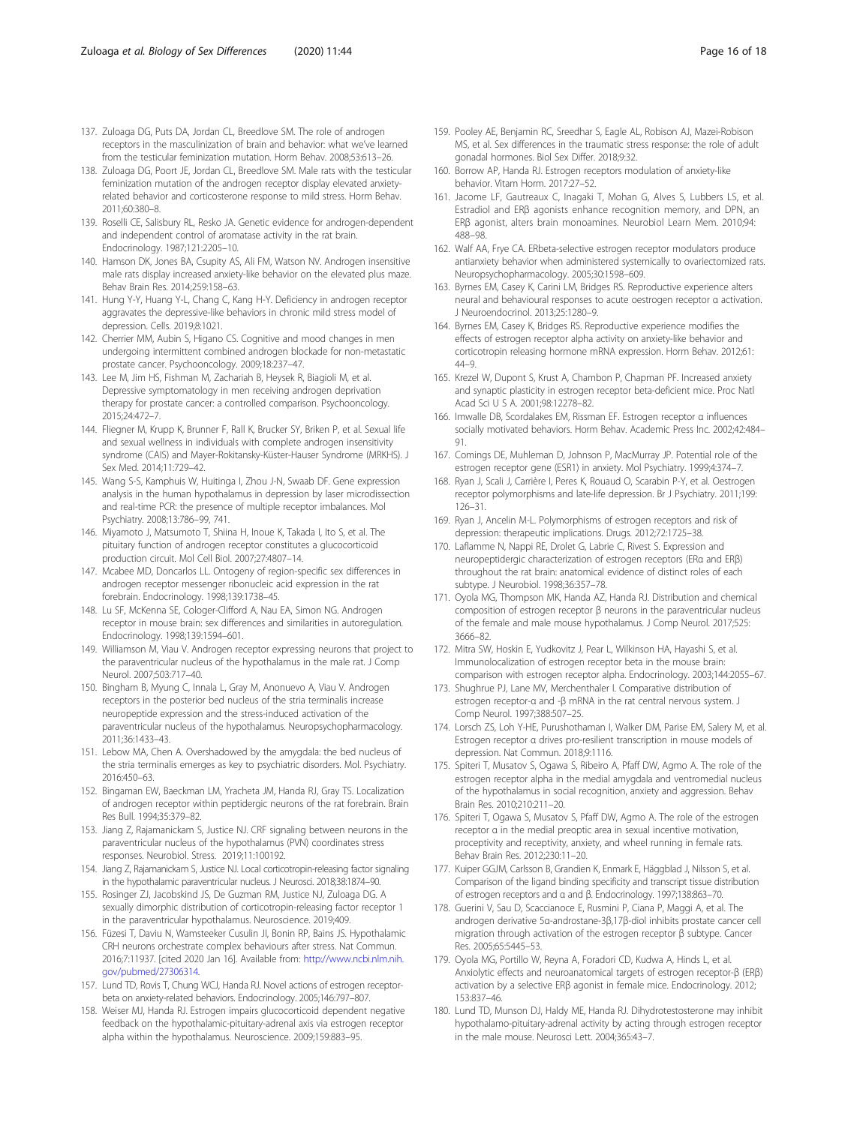- <span id="page-15-0"></span>137. Zuloaga DG, Puts DA, Jordan CL, Breedlove SM. The role of androgen receptors in the masculinization of brain and behavior: what we've learned from the testicular feminization mutation. Horm Behav. 2008;53:613–26.
- 138. Zuloaga DG, Poort JE, Jordan CL, Breedlove SM. Male rats with the testicular feminization mutation of the androgen receptor display elevated anxietyrelated behavior and corticosterone response to mild stress. Horm Behav. 2011;60:380–8.
- 139. Roselli CE, Salisbury RL, Resko JA. Genetic evidence for androgen-dependent and independent control of aromatase activity in the rat brain. Endocrinology. 1987;121:2205–10.
- 140. Hamson DK, Jones BA, Csupity AS, Ali FM, Watson NV. Androgen insensitive male rats display increased anxiety-like behavior on the elevated plus maze. Behav Brain Res. 2014;259:158–63.
- 141. Hung Y-Y, Huang Y-L, Chang C, Kang H-Y. Deficiency in androgen receptor aggravates the depressive-like behaviors in chronic mild stress model of depression. Cells. 2019;8:1021.
- 142. Cherrier MM, Aubin S, Higano CS. Cognitive and mood changes in men undergoing intermittent combined androgen blockade for non-metastatic prostate cancer. Psychooncology. 2009;18:237–47.
- 143. Lee M, Jim HS, Fishman M, Zachariah B, Heysek R, Biagioli M, et al. Depressive symptomatology in men receiving androgen deprivation therapy for prostate cancer: a controlled comparison. Psychooncology. 2015;24:472–7.
- 144. Fliegner M, Krupp K, Brunner F, Rall K, Brucker SY, Briken P, et al. Sexual life and sexual wellness in individuals with complete androgen insensitivity syndrome (CAIS) and Mayer-Rokitansky-Küster-Hauser Syndrome (MRKHS). J Sex Med. 2014;11:729–42.
- 145. Wang S-S, Kamphuis W, Huitinga I, Zhou J-N, Swaab DF. Gene expression analysis in the human hypothalamus in depression by laser microdissection and real-time PCR: the presence of multiple receptor imbalances. Mol Psychiatry. 2008;13:786–99, 741.
- 146. Miyamoto J, Matsumoto T, Shiina H, Inoue K, Takada I, Ito S, et al. The pituitary function of androgen receptor constitutes a glucocorticoid production circuit. Mol Cell Biol. 2007;27:4807–14.
- 147. Mcabee MD, Doncarlos LL. Ontogeny of region-specific sex differences in androgen receptor messenger ribonucleic acid expression in the rat forebrain. Endocrinology. 1998;139:1738–45.
- 148. Lu SF, McKenna SE, Cologer-Clifford A, Nau EA, Simon NG. Androgen receptor in mouse brain: sex differences and similarities in autoregulation. Endocrinology. 1998;139:1594–601.
- 149. Williamson M, Viau V. Androgen receptor expressing neurons that project to the paraventricular nucleus of the hypothalamus in the male rat. J Comp Neurol. 2007;503:717–40.
- 150. Bingham B, Myung C, Innala L, Gray M, Anonuevo A, Viau V. Androgen receptors in the posterior bed nucleus of the stria terminalis increase neuropeptide expression and the stress-induced activation of the paraventricular nucleus of the hypothalamus. Neuropsychopharmacology. 2011;36:1433–43.
- 151. Lebow MA, Chen A. Overshadowed by the amygdala: the bed nucleus of the stria terminalis emerges as key to psychiatric disorders. Mol. Psychiatry. 2016:450–63.
- 152. Bingaman EW, Baeckman LM, Yracheta JM, Handa RJ, Gray TS. Localization of androgen receptor within peptidergic neurons of the rat forebrain. Brain Res Bull. 1994;35:379–82.
- 153. Jiang Z, Rajamanickam S, Justice NJ. CRF signaling between neurons in the paraventricular nucleus of the hypothalamus (PVN) coordinates stress responses. Neurobiol. Stress. 2019;11:100192.
- 154. Jiang Z, Rajamanickam S, Justice NJ. Local corticotropin-releasing factor signaling in the hypothalamic paraventricular nucleus. J Neurosci. 2018;38:1874–90.
- 155. Rosinger ZJ, Jacobskind JS, De Guzman RM, Justice NJ, Zuloaga DG. A sexually dimorphic distribution of corticotropin-releasing factor receptor 1 in the paraventricular hypothalamus. Neuroscience. 2019;409.
- 156. Füzesi T, Daviu N, Wamsteeker Cusulin JI, Bonin RP, Bains JS. Hypothalamic CRH neurons orchestrate complex behaviours after stress. Nat Commun. 2016;7:11937. [cited 2020 Jan 16]. Available from: [http://www.ncbi.nlm.nih.](http://www.ncbi.nlm.nih.gov/pubmed/27306314) [gov/pubmed/27306314](http://www.ncbi.nlm.nih.gov/pubmed/27306314).
- 157. Lund TD, Rovis T, Chung WCJ, Handa RJ. Novel actions of estrogen receptorbeta on anxiety-related behaviors. Endocrinology. 2005;146:797–807.
- 158. Weiser MJ, Handa RJ. Estrogen impairs glucocorticoid dependent negative feedback on the hypothalamic-pituitary-adrenal axis via estrogen receptor alpha within the hypothalamus. Neuroscience. 2009;159:883–95.
- 159. Pooley AE, Benjamin RC, Sreedhar S, Eagle AL, Robison AJ, Mazei-Robison MS, et al. Sex differences in the traumatic stress response: the role of adult gonadal hormones. Biol Sex Differ. 2018;9:32.
- 160. Borrow AP, Handa RJ. Estrogen receptors modulation of anxiety-like behavior. Vitam Horm. 2017:27–52.
- 161. Jacome LF, Gautreaux C, Inagaki T, Mohan G, Alves S, Lubbers LS, et al. Estradiol and ERβ agonists enhance recognition memory, and DPN, an ERβ agonist, alters brain monoamines. Neurobiol Learn Mem. 2010;94: 488–98.
- 162. Walf AA, Frye CA. ERbeta-selective estrogen receptor modulators produce antianxiety behavior when administered systemically to ovariectomized rats. Neuropsychopharmacology. 2005;30:1598–609.
- 163. Byrnes EM, Casey K, Carini LM, Bridges RS. Reproductive experience alters neural and behavioural responses to acute oestrogen receptor α activation. J Neuroendocrinol. 2013;25:1280–9.
- 164. Byrnes EM, Casey K, Bridges RS. Reproductive experience modifies the effects of estrogen receptor alpha activity on anxiety-like behavior and corticotropin releasing hormone mRNA expression. Horm Behav. 2012;61: 44–9.
- 165. Krezel W, Dupont S, Krust A, Chambon P, Chapman PF. Increased anxiety and synaptic plasticity in estrogen receptor beta-deficient mice. Proc Natl Acad Sci U S A. 2001;98:12278–82.
- 166. Imwalle DB, Scordalakes EM, Rissman EF. Estrogen receptor α influences socially motivated behaviors. Horm Behav. Academic Press Inc. 2002;42:484– 91.
- 167. Comings DE, Muhleman D, Johnson P, MacMurray JP. Potential role of the estrogen receptor gene (ESR1) in anxiety. Mol Psychiatry. 1999;4:374–7.
- 168. Ryan J, Scali J, Carrière I, Peres K, Rouaud O, Scarabin P-Y, et al. Oestrogen receptor polymorphisms and late-life depression. Br J Psychiatry. 2011;199: 126–31.
- 169. Ryan J, Ancelin M-L. Polymorphisms of estrogen receptors and risk of depression: therapeutic implications. Drugs. 2012;72:1725–38.
- 170. Laflamme N, Nappi RE, Drolet G, Labrie C, Rivest S. Expression and neuropeptidergic characterization of estrogen receptors (ERα and ERβ) throughout the rat brain: anatomical evidence of distinct roles of each subtype. J Neurobiol. 1998;36:357–78.
- 171. Oyola MG, Thompson MK, Handa AZ, Handa RJ. Distribution and chemical composition of estrogen receptor β neurons in the paraventricular nucleus of the female and male mouse hypothalamus. J Comp Neurol. 2017;525: 3666–82.
- 172. Mitra SW, Hoskin E, Yudkovitz J, Pear L, Wilkinson HA, Hayashi S, et al. Immunolocalization of estrogen receptor beta in the mouse brain: comparison with estrogen receptor alpha. Endocrinology. 2003;144:2055–67.
- 173. Shughrue PJ, Lane MV, Merchenthaler I. Comparative distribution of estrogen receptor-α and -β mRNA in the rat central nervous system. J Comp Neurol. 1997;388:507–25.
- 174. Lorsch ZS, Loh Y-HE, Purushothaman I, Walker DM, Parise EM, Salery M, et al. Estrogen receptor α drives pro-resilient transcription in mouse models of depression. Nat Commun. 2018;9:1116.
- 175. Spiteri T, Musatov S, Ogawa S, Ribeiro A, Pfaff DW, Agmo A. The role of the estrogen receptor alpha in the medial amygdala and ventromedial nucleus of the hypothalamus in social recognition, anxiety and aggression. Behav Brain Res. 2010;210:211–20.
- 176. Spiteri T, Ogawa S, Musatov S, Pfaff DW, Agmo A. The role of the estrogen receptor α in the medial preoptic area in sexual incentive motivation, proceptivity and receptivity, anxiety, and wheel running in female rats. Behav Brain Res. 2012;230:11–20.
- 177. Kuiper GGJM, Carlsson B, Grandien K, Enmark E, Häggblad J, Nilsson S, et al. Comparison of the ligand binding specificity and transcript tissue distribution of estrogen receptors and α and β. Endocrinology. 1997;138:863–70.
- 178. Guerini V, Sau D, Scaccianoce E, Rusmini P, Ciana P, Maggi A, et al. The androgen derivative 5α-androstane-3β,17β-diol inhibits prostate cancer cell migration through activation of the estrogen receptor β subtype. Cancer Res. 2005;65:5445–53.
- 179. Oyola MG, Portillo W, Reyna A, Foradori CD, Kudwa A, Hinds L, et al. Anxiolytic effects and neuroanatomical targets of estrogen receptor-β (ERβ) activation by a selective ERβ agonist in female mice. Endocrinology. 2012; 153:837–46.
- 180. Lund TD, Munson DJ, Haldy ME, Handa RJ. Dihydrotestosterone may inhibit hypothalamo-pituitary-adrenal activity by acting through estrogen receptor in the male mouse. Neurosci Lett. 2004;365:43–7.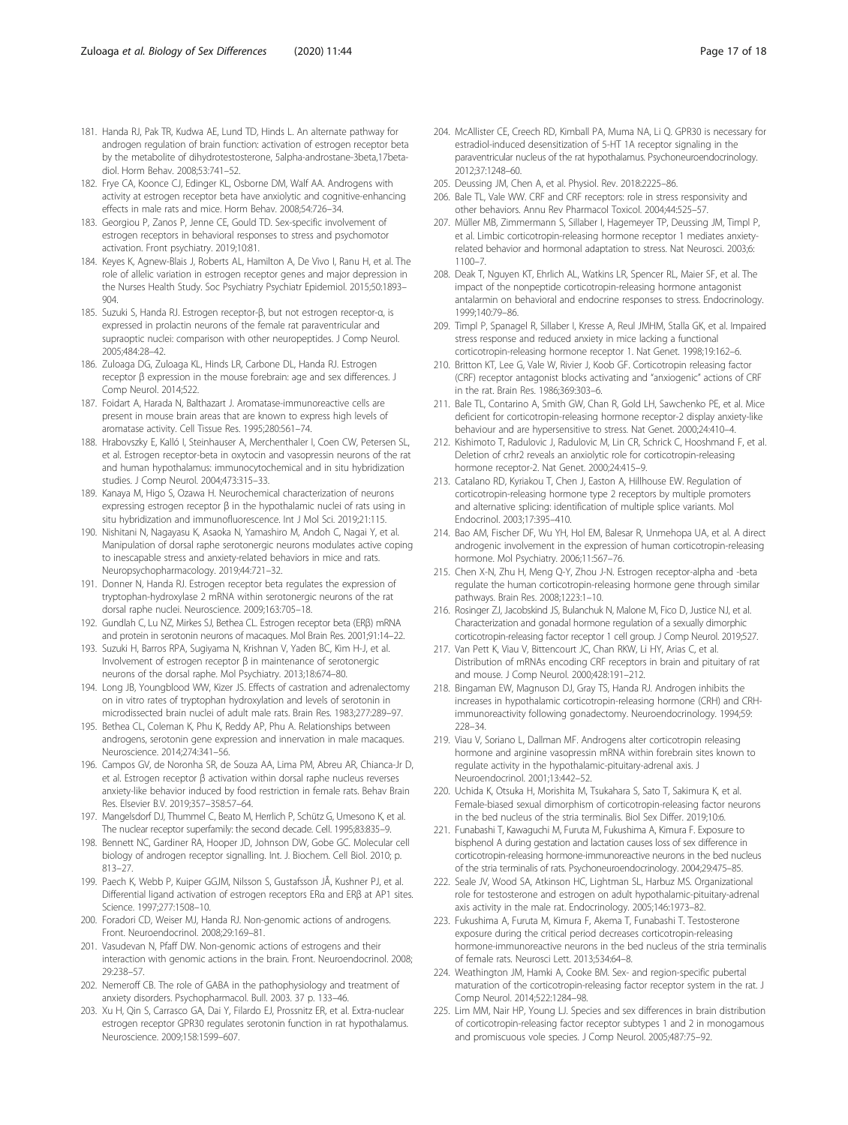- <span id="page-16-0"></span>181. Handa RJ, Pak TR, Kudwa AE, Lund TD, Hinds L. An alternate pathway for androgen regulation of brain function: activation of estrogen receptor beta by the metabolite of dihydrotestosterone, 5alpha-androstane-3beta,17betadiol. Horm Behav. 2008;53:741–52.
- 182. Frye CA, Koonce CJ, Edinger KL, Osborne DM, Walf AA. Androgens with activity at estrogen receptor beta have anxiolytic and cognitive-enhancing effects in male rats and mice. Horm Behav. 2008;54:726–34.
- 183. Georgiou P, Zanos P, Jenne CE, Gould TD. Sex-specific involvement of estrogen receptors in behavioral responses to stress and psychomotor activation. Front psychiatry. 2019;10:81.
- 184. Keyes K, Agnew-Blais J, Roberts AL, Hamilton A, De Vivo I, Ranu H, et al. The role of allelic variation in estrogen receptor genes and major depression in the Nurses Health Study. Soc Psychiatry Psychiatr Epidemiol. 2015;50:1893– 904.
- 185. Suzuki S, Handa RJ. Estrogen receptor-β, but not estrogen receptor-α, is expressed in prolactin neurons of the female rat paraventricular and supraoptic nuclei: comparison with other neuropeptides. J Comp Neurol. 2005;484:28–42.
- 186. Zuloaga DG, Zuloaga KL, Hinds LR, Carbone DL, Handa RJ. Estrogen receptor β expression in the mouse forebrain: age and sex differences. J Comp Neurol. 2014;522.
- 187. Foidart A, Harada N, Balthazart J. Aromatase-immunoreactive cells are present in mouse brain areas that are known to express high levels of aromatase activity. Cell Tissue Res. 1995;280:561–74.
- 188. Hrabovszky E, Kalló I, Steinhauser A, Merchenthaler I, Coen CW, Petersen SL, et al. Estrogen receptor-beta in oxytocin and vasopressin neurons of the rat and human hypothalamus: immunocytochemical and in situ hybridization studies. J Comp Neurol. 2004;473:315–33.
- 189. Kanaya M, Higo S, Ozawa H. Neurochemical characterization of neurons expressing estrogen receptor β in the hypothalamic nuclei of rats using in situ hybridization and immunofluorescence. Int J Mol Sci. 2019;21:115.
- 190. Nishitani N, Nagayasu K, Asaoka N, Yamashiro M, Andoh C, Nagai Y, et al. Manipulation of dorsal raphe serotonergic neurons modulates active coping to inescapable stress and anxiety-related behaviors in mice and rats. Neuropsychopharmacology. 2019;44:721–32.
- 191. Donner N, Handa RJ. Estrogen receptor beta regulates the expression of tryptophan-hydroxylase 2 mRNA within serotonergic neurons of the rat dorsal raphe nuclei. Neuroscience. 2009;163:705–18.
- 192. Gundlah C, Lu NZ, Mirkes SJ, Bethea CL. Estrogen receptor beta (ERβ) mRNA and protein in serotonin neurons of macaques. Mol Brain Res. 2001;91:14–22.
- 193. Suzuki H, Barros RPA, Sugiyama N, Krishnan V, Yaden BC, Kim H-J, et al. Involvement of estrogen receptor β in maintenance of serotonergic neurons of the dorsal raphe. Mol Psychiatry. 2013;18:674–80.
- 194. Long JB, Youngblood WW, Kizer JS. Effects of castration and adrenalectomy on in vitro rates of tryptophan hydroxylation and levels of serotonin in microdissected brain nuclei of adult male rats. Brain Res. 1983;277:289–97.
- 195. Bethea CL, Coleman K, Phu K, Reddy AP, Phu A. Relationships between androgens, serotonin gene expression and innervation in male macaques. Neuroscience. 2014;274:341–56.
- 196. Campos GV, de Noronha SR, de Souza AA, Lima PM, Abreu AR, Chianca-Jr D, et al. Estrogen receptor β activation within dorsal raphe nucleus reverses anxiety-like behavior induced by food restriction in female rats. Behav Brain Res. Elsevier B.V. 2019;357–358:57–64.
- 197. Mangelsdorf DJ, Thummel C, Beato M, Herrlich P, Schütz G, Umesono K, et al. The nuclear receptor superfamily: the second decade. Cell. 1995;83:835–9.
- 198. Bennett NC, Gardiner RA, Hooper JD, Johnson DW, Gobe GC. Molecular cell biology of androgen receptor signalling. Int. J. Biochem. Cell Biol. 2010; p. 813–27.
- 199. Paech K, Webb P, Kuiper GGJM, Nilsson S, Gustafsson JÅ, Kushner PJ, et al. Differential ligand activation of estrogen receptors ERα and ERβ at AP1 sites. Science. 1997;277:1508–10.
- 200. Foradori CD, Weiser MJ, Handa RJ. Non-genomic actions of androgens. Front. Neuroendocrinol. 2008;29:169–81.
- 201. Vasudevan N, Pfaff DW. Non-genomic actions of estrogens and their interaction with genomic actions in the brain. Front. Neuroendocrinol. 2008; 29:238–57.
- 202. Nemeroff CB. The role of GABA in the pathophysiology and treatment of anxiety disorders. Psychopharmacol. Bull. 2003. 37 p. 133–46.
- 203. Xu H, Qin S, Carrasco GA, Dai Y, Filardo EJ, Prossnitz ER, et al. Extra-nuclear estrogen receptor GPR30 regulates serotonin function in rat hypothalamus. Neuroscience. 2009;158:1599–607.
- 204. McAllister CE, Creech RD, Kimball PA, Muma NA, Li Q. GPR30 is necessary for estradiol-induced desensitization of 5-HT 1A receptor signaling in the paraventricular nucleus of the rat hypothalamus. Psychoneuroendocrinology. 2012;37:1248–60.
- 205. Deussing JM, Chen A, et al. Physiol. Rev. 2018:2225–86.
- 206. Bale TL, Vale WW. CRF and CRF receptors: role in stress responsivity and other behaviors. Annu Rev Pharmacol Toxicol. 2004;44:525–57.
- 207. Müller MB, Zimmermann S, Sillaber I, Hagemeyer TP, Deussing JM, Timpl P, et al. Limbic corticotropin-releasing hormone receptor 1 mediates anxietyrelated behavior and hormonal adaptation to stress. Nat Neurosci. 2003;6: 1100–7.
- 208. Deak T, Nguyen KT, Ehrlich AL, Watkins LR, Spencer RL, Maier SF, et al. The impact of the nonpeptide corticotropin-releasing hormone antagonist antalarmin on behavioral and endocrine responses to stress. Endocrinology. 1999;140:79–86.
- 209. Timpl P, Spanagel R, Sillaber I, Kresse A, Reul JMHM, Stalla GK, et al. Impaired stress response and reduced anxiety in mice lacking a functional corticotropin-releasing hormone receptor 1. Nat Genet. 1998;19:162–6.
- 210. Britton KT, Lee G, Vale W, Rivier J, Koob GF. Corticotropin releasing factor (CRF) receptor antagonist blocks activating and "anxiogenic" actions of CRF in the rat. Brain Res. 1986;369:303–6.
- 211. Bale TL, Contarino A, Smith GW, Chan R, Gold LH, Sawchenko PE, et al. Mice deficient for corticotropin-releasing hormone receptor-2 display anxiety-like behaviour and are hypersensitive to stress. Nat Genet. 2000;24:410–4.
- 212. Kishimoto T, Radulovic J, Radulovic M, Lin CR, Schrick C, Hooshmand F, et al. Deletion of crhr2 reveals an anxiolytic role for corticotropin-releasing hormone receptor-2. Nat Genet. 2000;24:415–9.
- 213. Catalano RD, Kyriakou T, Chen J, Easton A, Hillhouse EW. Regulation of corticotropin-releasing hormone type 2 receptors by multiple promoters and alternative splicing: identification of multiple splice variants. Mol Endocrinol. 2003;17:395–410.
- 214. Bao AM, Fischer DF, Wu YH, Hol EM, Balesar R, Unmehopa UA, et al. A direct androgenic involvement in the expression of human corticotropin-releasing hormone. Mol Psychiatry. 2006;11:567–76.
- 215. Chen X-N, Zhu H, Meng Q-Y, Zhou J-N. Estrogen receptor-alpha and -beta regulate the human corticotropin-releasing hormone gene through similar pathways. Brain Res. 2008;1223:1–10.
- 216. Rosinger ZJ, Jacobskind JS, Bulanchuk N, Malone M, Fico D, Justice NJ, et al. Characterization and gonadal hormone regulation of a sexually dimorphic corticotropin-releasing factor receptor 1 cell group. J Comp Neurol. 2019;527.
- 217. Van Pett K, Viau V, Bittencourt JC, Chan RKW, Li HY, Arias C, et al. Distribution of mRNAs encoding CRF receptors in brain and pituitary of rat and mouse. J Comp Neurol. 2000;428:191–212.
- 218. Bingaman EW, Magnuson DJ, Gray TS, Handa RJ. Androgen inhibits the increases in hypothalamic corticotropin-releasing hormone (CRH) and CRHimmunoreactivity following gonadectomy. Neuroendocrinology. 1994;59: 228–34.
- 219. Viau V, Soriano L, Dallman MF. Androgens alter corticotropin releasing hormone and arginine vasopressin mRNA within forebrain sites known to regulate activity in the hypothalamic-pituitary-adrenal axis. J Neuroendocrinol. 2001;13:442–52.
- 220. Uchida K, Otsuka H, Morishita M, Tsukahara S, Sato T, Sakimura K, et al. Female-biased sexual dimorphism of corticotropin-releasing factor neurons in the bed nucleus of the stria terminalis. Biol Sex Differ. 2019;10:6.
- 221. Funabashi T, Kawaguchi M, Furuta M, Fukushima A, Kimura F. Exposure to bisphenol A during gestation and lactation causes loss of sex difference in corticotropin-releasing hormone-immunoreactive neurons in the bed nucleus of the stria terminalis of rats. Psychoneuroendocrinology. 2004;29:475–85.
- 222. Seale JV, Wood SA, Atkinson HC, Lightman SL, Harbuz MS. Organizational role for testosterone and estrogen on adult hypothalamic-pituitary-adrenal axis activity in the male rat. Endocrinology. 2005;146:1973–82.
- 223. Fukushima A, Furuta M, Kimura F, Akema T, Funabashi T. Testosterone exposure during the critical period decreases corticotropin-releasing hormone-immunoreactive neurons in the bed nucleus of the stria terminalis of female rats. Neurosci Lett. 2013;534:64–8.
- 224. Weathington JM, Hamki A, Cooke BM. Sex- and region-specific pubertal maturation of the corticotropin-releasing factor receptor system in the rat. J Comp Neurol. 2014;522:1284–98.
- 225. Lim MM, Nair HP, Young LJ. Species and sex differences in brain distribution of corticotropin-releasing factor receptor subtypes 1 and 2 in monogamous and promiscuous vole species. J Comp Neurol. 2005;487:75–92.